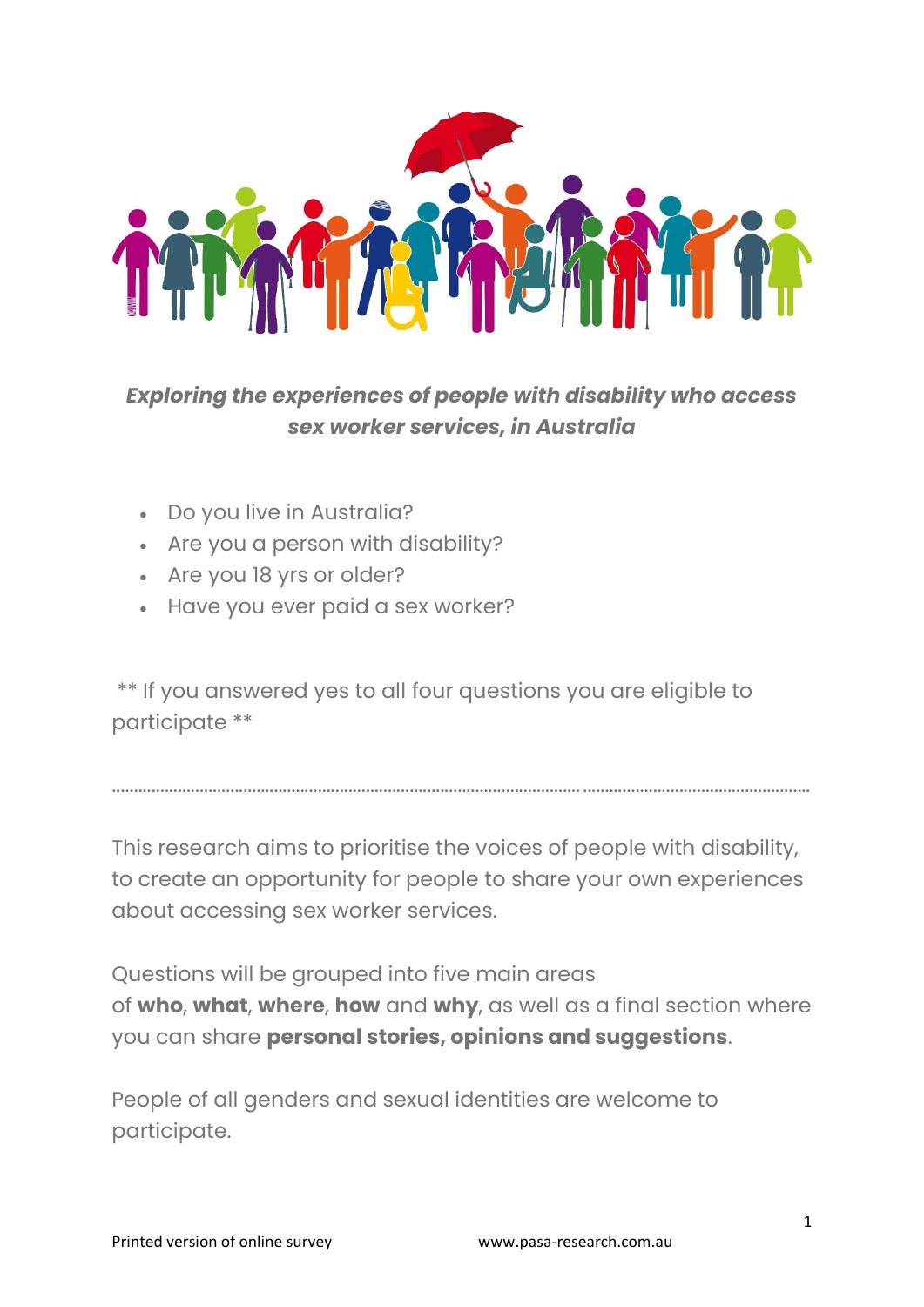

# *Exploring the experiences of people with disability who access sex worker services, in Australia*

- Do you live in Australia?
- Are you a person with disability?
- Are you 18 yrs or older?
- Have you ever paid a sex worker?

\*\* If you answered yes to all four questions you are eligible to participate \*\*

This research aims to prioritise the voices of people with disability, to create an opportunity for people to share your own experiences about accessing sex worker services.

........................................................................................................... ....................................................

Questions will be grouped into five main areas of **who**, **what**, **where**, **how** and **why**, as well as a final section where you can share **personal stories, opinions and suggestions**.

People of all genders and sexual identities are welcome to participate.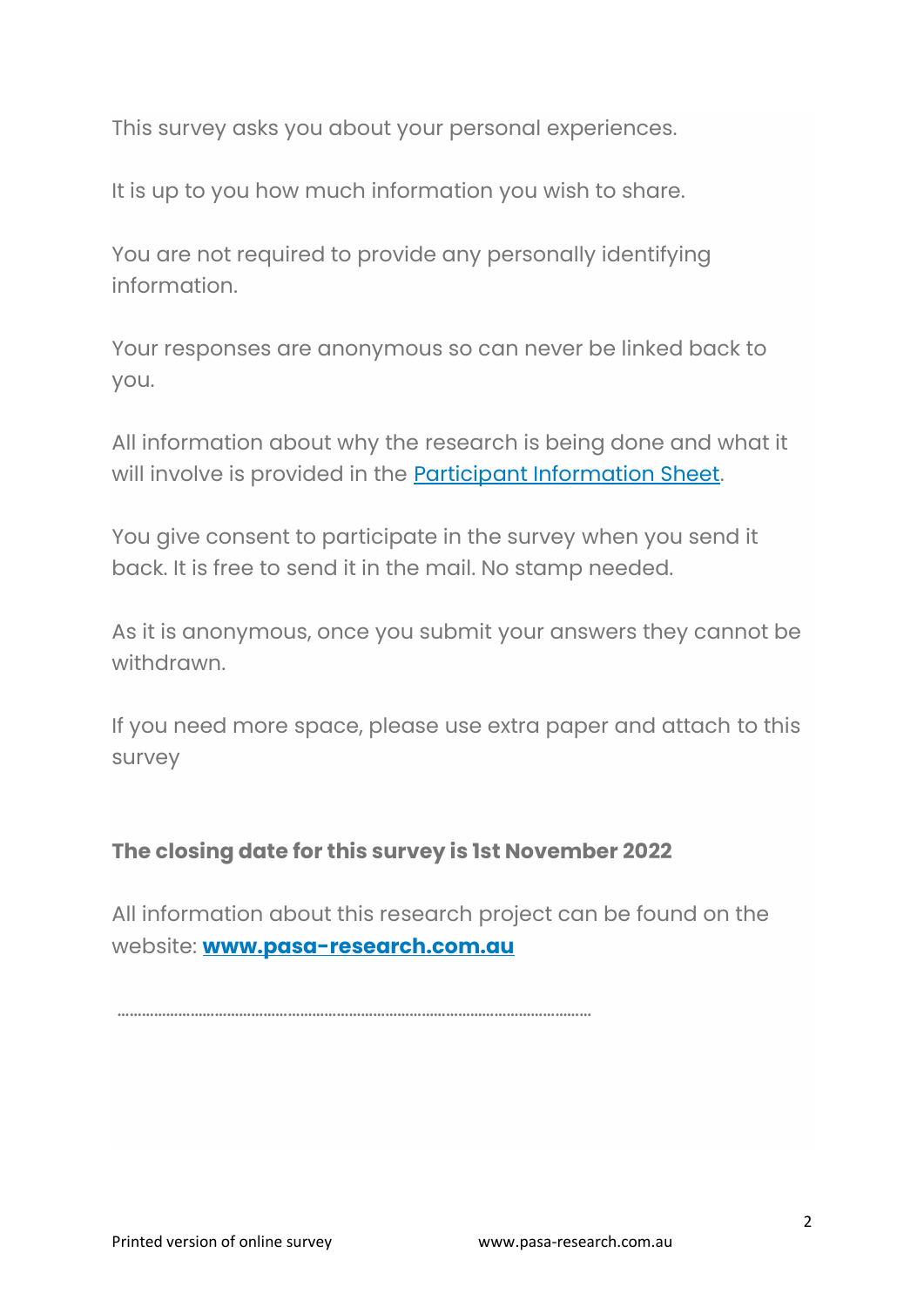This survey asks you about your personal experiences.

It is up to you how much information you wish to share.

You are not required to provide any personally identifying information.

Your responses are anonymous so can never be linked back to you.

All information about why the research is being done and what it will involve is provided in the **Participant Information Sheet**.

You give consent to participate in the survey when you send it back. It is free to send it in the mail. No stamp needed.

As it is anonymous, once you submit your answers they cannot be withdrawn.

If you need more space, please use extra paper and attach to this survey

#### **The closing date for this survey is 1st November 2022**

All information about this research project can be found on the website: **[www.pasa-research.com.au](http://www.pasa-research.com.au/)**

………………………………………………………………………………………………………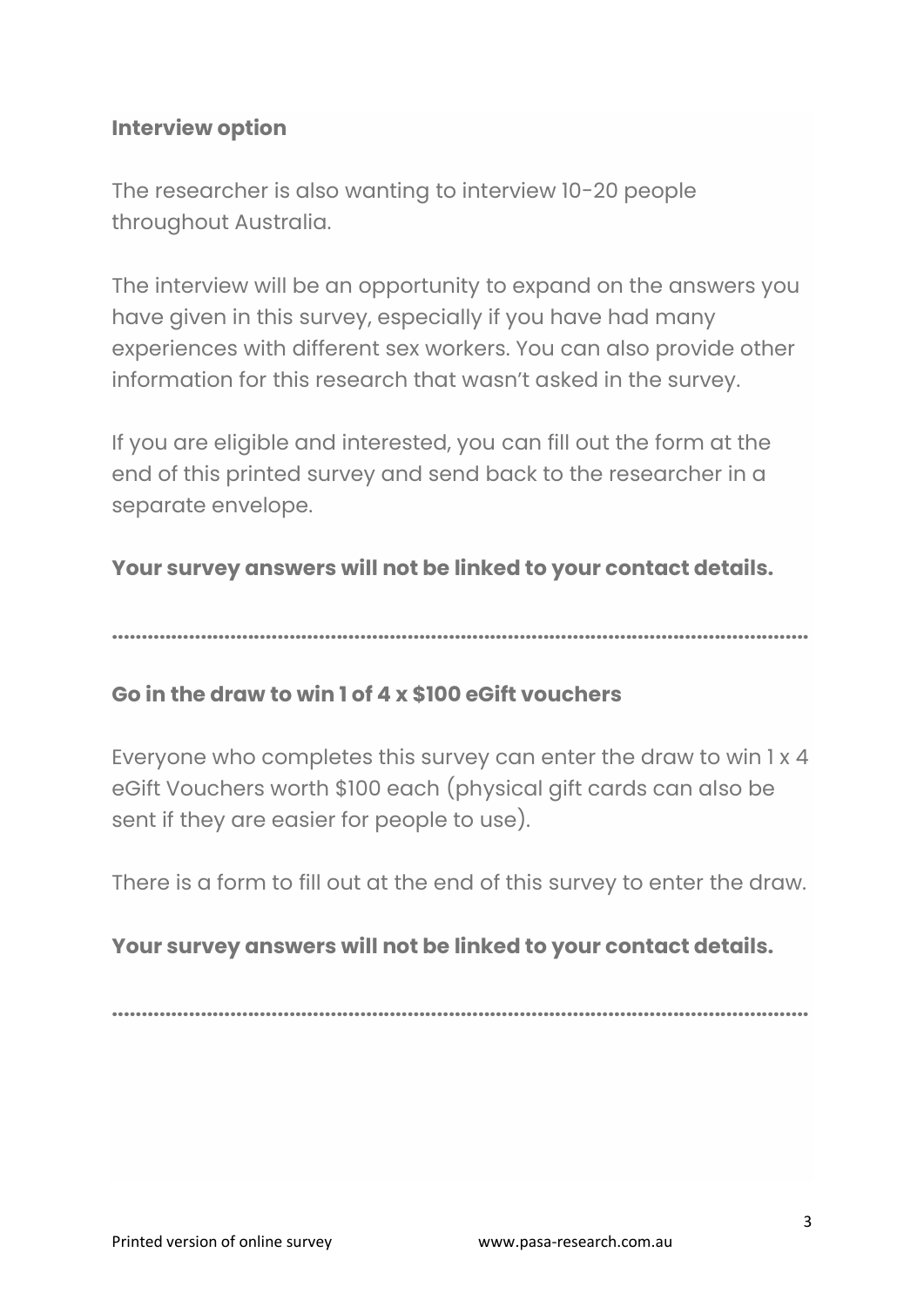### **Interview option**

The researcher is also wanting to interview 10-20 people throughout Australia.

The interview will be an opportunity to expand on the answers you have given in this survey, especially if you have had many experiences with different sex workers. You can also provide other information for this research that wasn't asked in the survey.

If you are eligible and interested, you can fill out the form at the end of this printed survey and send back to the researcher in a separate envelope.

#### **Your survey answers will not be linked to your contact details.**

**......................................................................................................................**

#### **Go in the draw to win 1 of 4 x \$100 eGift vouchers**

Everyone who completes this survey can enter the draw to win 1 x 4 eGift Vouchers worth \$100 each (physical gift cards can also be sent if they are easier for people to use).

There is a form to fill out at the end of this survey to enter the draw.

#### **Your survey answers will not be linked to your contact details.**

**......................................................................................................................**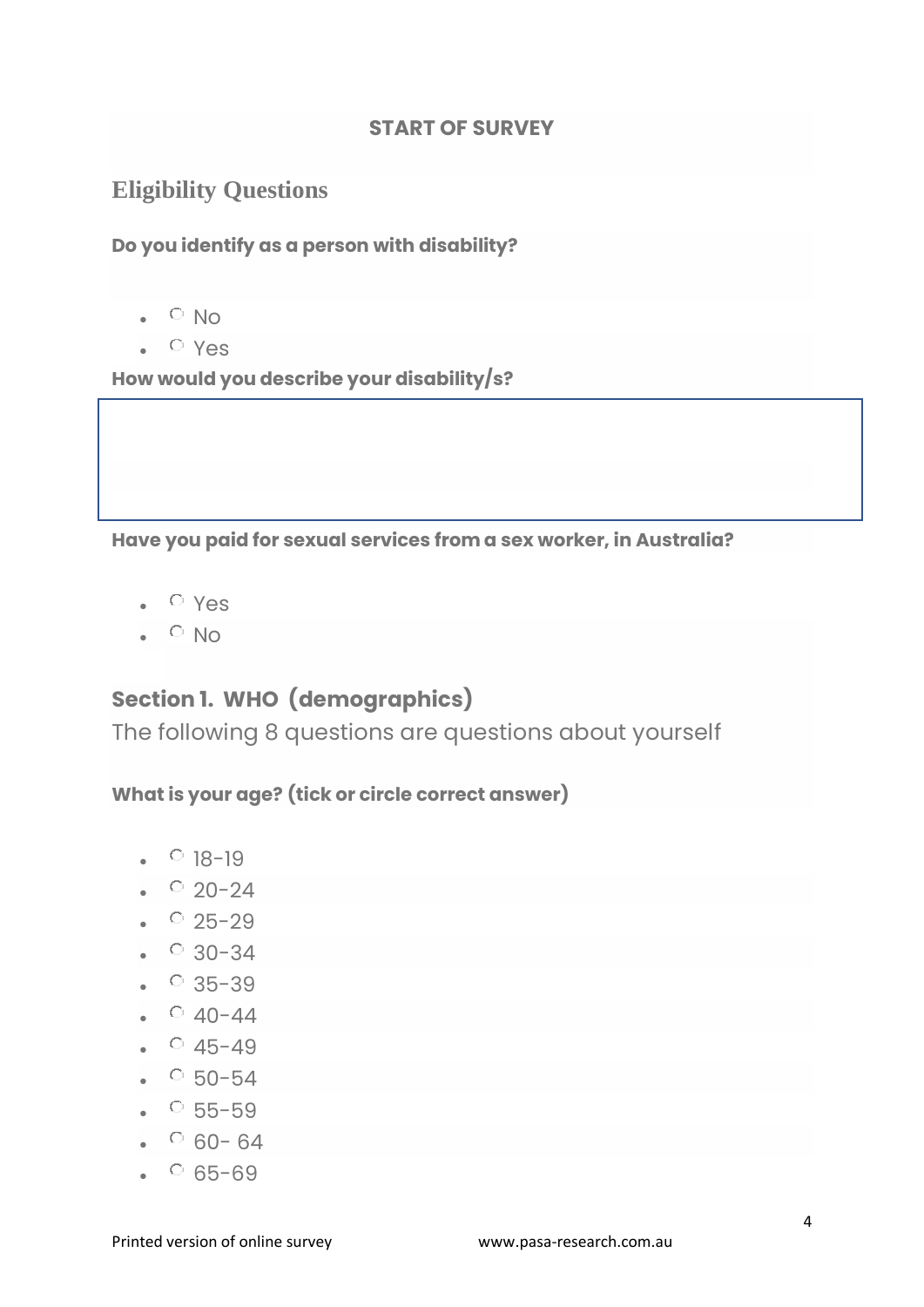#### **START OF SURVEY**

# **Eligibility Questions**

**Do you identify as a person with disability?**

- $\sim$  No
- Yes

**How would you describe your disability/s?**

**Have you paid for sexual services from a sex worker, in Australia?**

- Yes
- $\bullet$   $\circ$  No

# **Section 1. WHO (demographics)**

The following 8 questions are questions about yourself

**What is your age? (tick or circle correct answer)**

- $18-19$
- $\cdot$  20-24
- $25-29$
- $30-34$
- $935-39$
- $940-44$
- $945-49$
- $50-54$
- $55-59$
- $60-64$
- $65-69$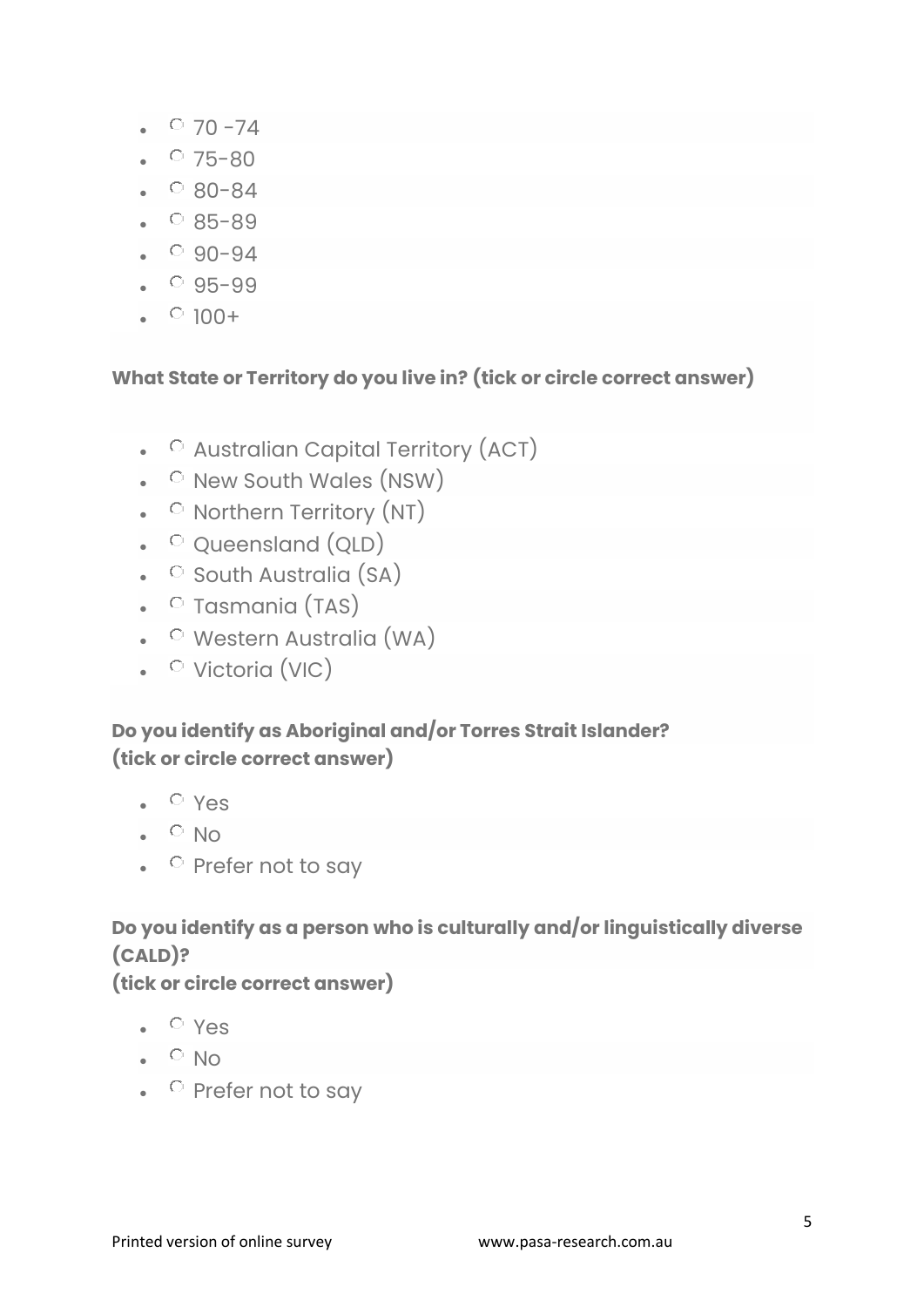- $070 74$
- $075 80$
- $\degree$  80-84
- $85-89$
- $90-94$
- $95-99$
- $\bullet$  0 100+

#### **What State or Territory do you live in? (tick or circle correct answer)**

- **C** Australian Capital Territory (ACT)
- O New South Wales (NSW)
- O Northern Territory (NT)
- **Queensland (QLD)**
- $\bullet$  South Australia (SA)
- O Tasmania (TAS)
- O Western Australia (WA)
- <sup>O</sup> Victoria (VIC)

#### **Do you identify as Aboriginal and/or Torres Strait Islander? (tick or circle correct answer)**

- $\bullet$   $\circ$  Yes
- $\bullet$   $\circ$  No
- $\bullet$   $\circ$  Prefer not to say

## **Do you identify as a person who is culturally and/or linguistically diverse (CALD)?**

#### **(tick or circle correct answer)**

- $\bullet$   $\circ$  Yes
- $\cdot$  O No
- $\bullet$  Prefer not to say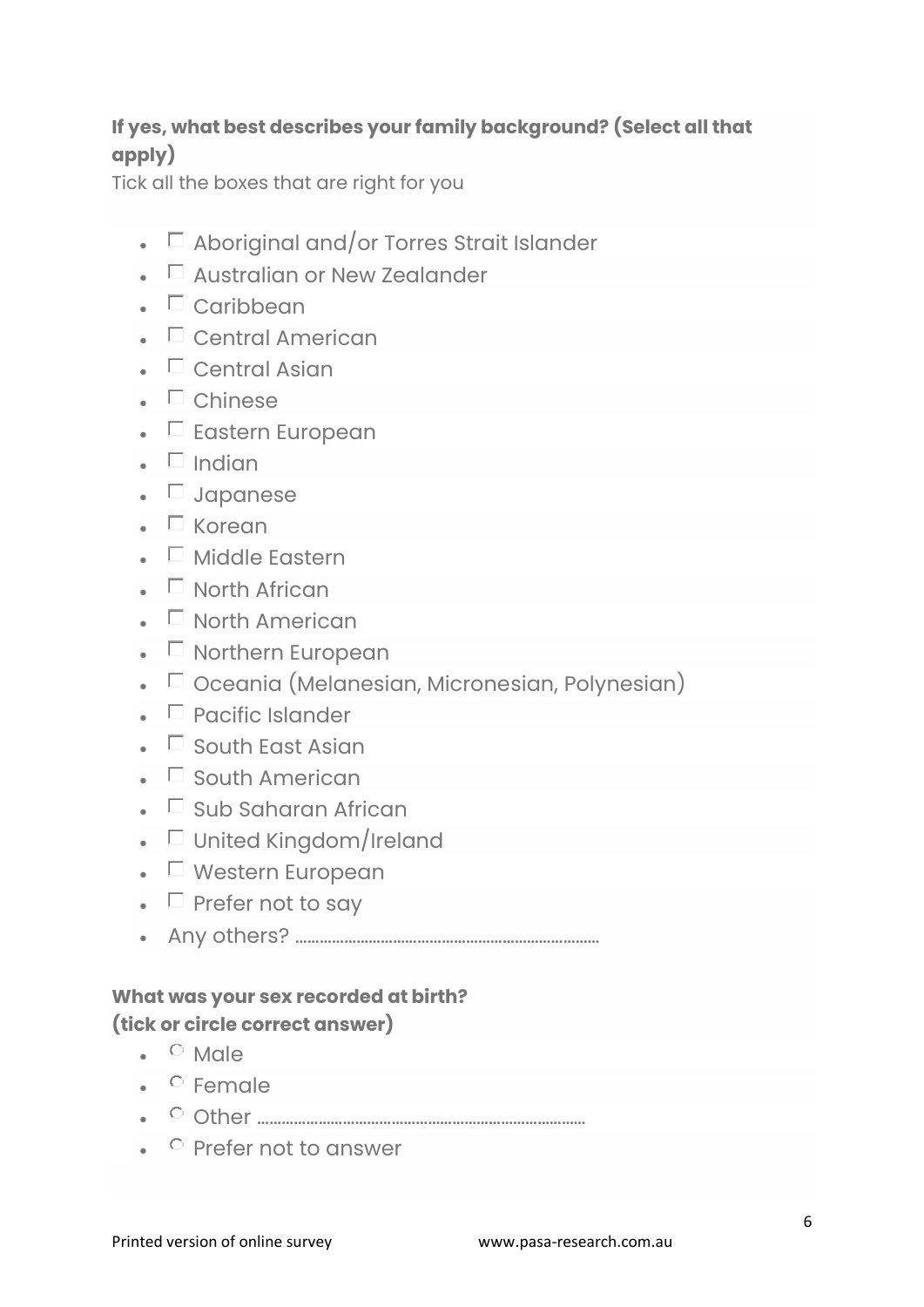#### **If yes, what best describes your family background? (Select all that apply)**

Tick all the boxes that are right for you

- $\Box$  Aboriginal and/or Torres Strait Islander
- $\Box$  Australian or New Zealander
- $\blacksquare$  Caribbean
- $\bullet$   $\Box$  Central American
- Central Asian
- $\blacksquare$  Chinese
- $\bullet$   $\Box$  Eastern European
- $\blacksquare$  Indian
- **D** Japanese
- $\blacksquare$  Korean
- $\blacksquare$  Middle Eastern
- $\blacksquare$  North African
- $\Box$  North American
- $\Box$  Northern European
- $\bullet\quad \Box$  Oceania (Melanesian, Micronesian, Polynesian)
- $\bullet$   $\Box$  Pacific Islander
- $\square$  South East Asian
- $\bullet$   $\Box$  South American
- $\square$  Sub Saharan African
- $\bullet$   $\Box$  United Kingdom/Ireland
- $\Box$  Western European
- $\Box$  Prefer not to say
- Any others? …………………………………………………………………

#### **What was your sex recorded at birth? (tick or circle correct answer)**

- $\bullet$   $\circ$  Male
- $\bullet$  Female
- Other ………………………………………………………………………
- $\bullet$  Prefer not to answer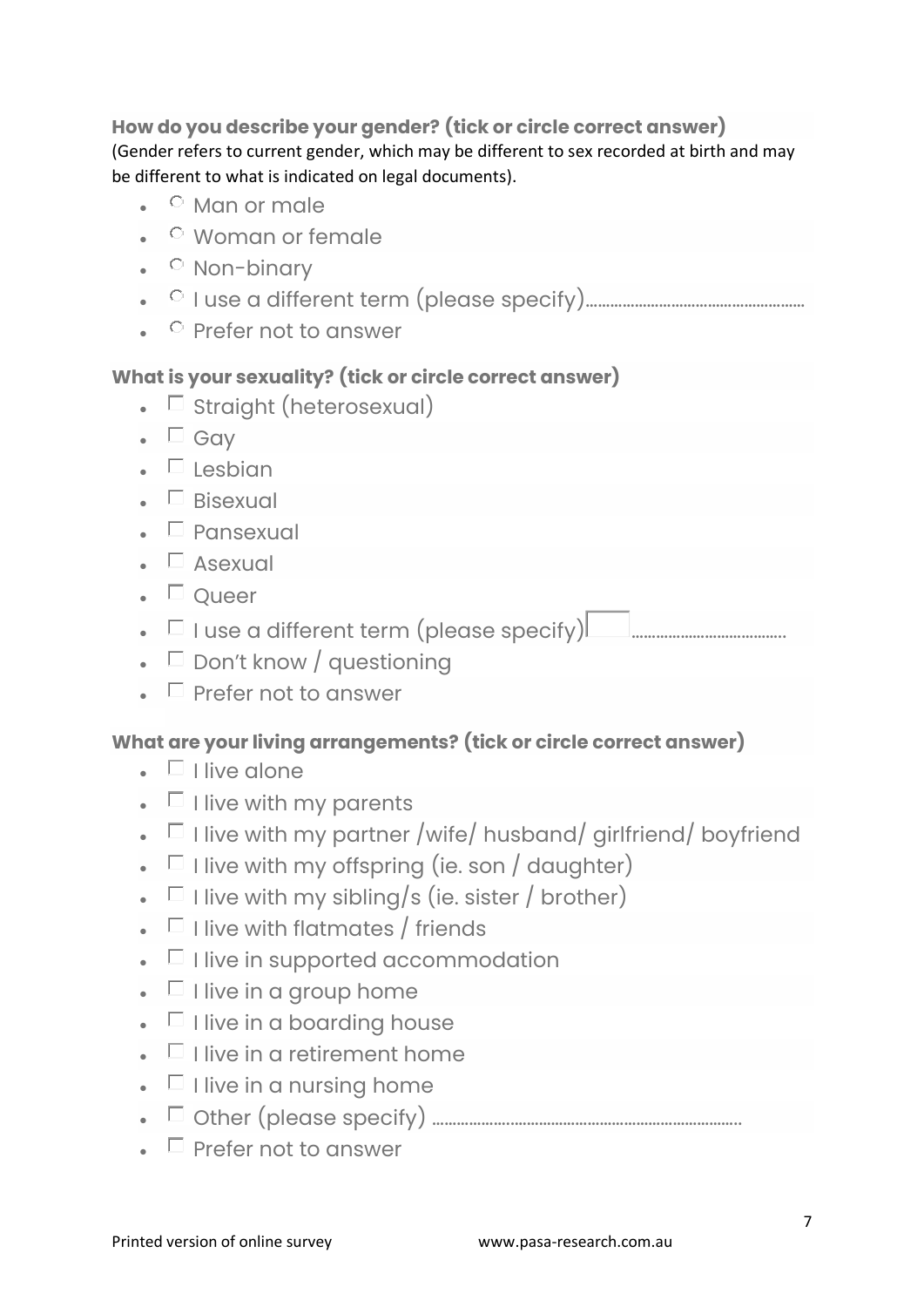**How do you describe your gender? (tick or circle correct answer)** (Gender refers to current gender, which may be different to sex recorded at birth and may be different to what is indicated on legal documents).

- $\bullet$   $\circ$  Man or male
- Woman or female
- $\bullet$   $\circ$  Non-binary
- I use a different term (please specify)………………………………………………
- $\bullet$   $\circ$  Prefer not to answer

#### **What is your sexuality? (tick or circle correct answer)**

- $\square$  Straight (heterosexual)
- $\blacksquare$  Gav
- $\blacksquare$  Lesbian
- $\bullet$  **Bisexual**
- $\bullet$   $\Box$  Pansexual
- $\blacksquare$  Asexual
- $\blacksquare$  Oueer
- I use a different term (please specify) ………………………………..
- $\Box$  Don't know / questioning
- $\Box$  Prefer not to answer

#### **What are your living arrangements? (tick or circle correct answer)**

- $\bullet$   $\Box$  I live alone
- $\bullet$   $\Box$  I live with my parents
- $\Box$  I live with my partner /wife/ husband/ girlfriend/ boyfriend
- $\Box$  I live with my offspring (ie. son / daughter)
- $\Box$  I live with my sibling/s (ie. sister / brother)
- $\Box$  I live with flatmates / friends
- $\bullet$   $\Box$  live in supported accommodation
- $\bullet$   $\Box$  I live in a group home
- $\bullet$   $\Box$  I live in a boardina house
- $\blacksquare$  I live in a retirement home
- $\bullet$   $\Box$  I live in a nursing home
- Other (please specify) ………………..………………………………………………..
- $\bullet$   $\Box$  Prefer not to answer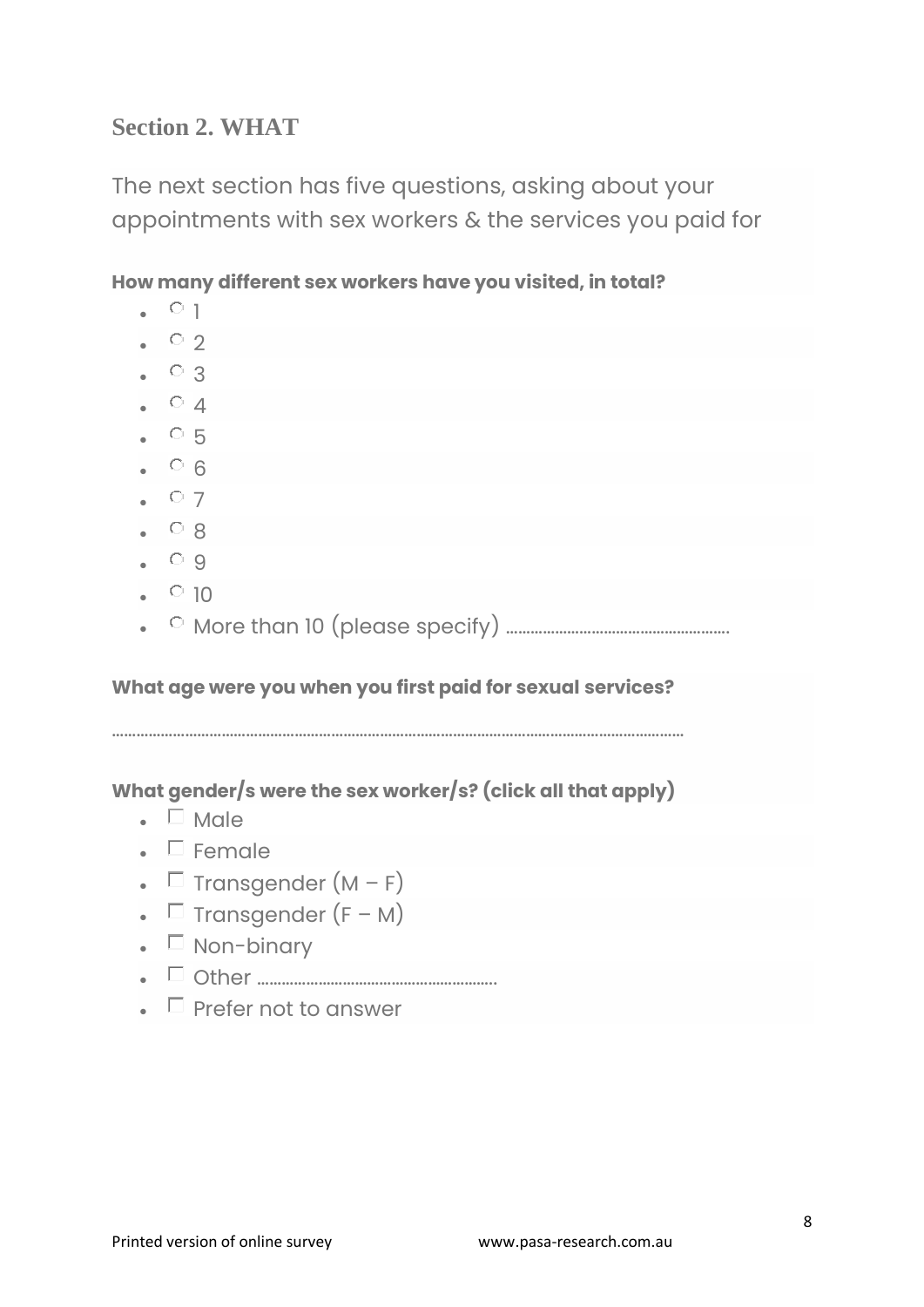# **Section 2. WHAT**

The next section has five questions, asking about your appointments with sex workers & the services you paid for

**How many different sex workers have you visited, in total?**

| $\cdot$ $\circ$ 2<br>$\bullet$ $\circ$ 3<br>$\bullet$ 0 4<br>$\cdot$ 05<br>$\bullet$ 0 6<br>$\bullet$ 0 7<br>$\cdot$ $\circ$ 8<br>$\bullet$ 0 9<br>$\cdot$ 0 10<br>What age were you when you first paid for sexual services?<br>What gender/s were the sex worker/s? (click all that apply)<br>$\blacksquare$ Male<br>$\blacksquare$ Female<br>• $\Box$ Transgender $(M - F)$<br>• $\Box$ Transgender $(F - M)$<br>$\bullet$ $\Box$ Non-binary |  | $\circ$ 1 |
|-------------------------------------------------------------------------------------------------------------------------------------------------------------------------------------------------------------------------------------------------------------------------------------------------------------------------------------------------------------------------------------------------------------------------------------------------|--|-----------|
|                                                                                                                                                                                                                                                                                                                                                                                                                                                 |  |           |
|                                                                                                                                                                                                                                                                                                                                                                                                                                                 |  |           |
|                                                                                                                                                                                                                                                                                                                                                                                                                                                 |  |           |
|                                                                                                                                                                                                                                                                                                                                                                                                                                                 |  |           |
|                                                                                                                                                                                                                                                                                                                                                                                                                                                 |  |           |
|                                                                                                                                                                                                                                                                                                                                                                                                                                                 |  |           |
|                                                                                                                                                                                                                                                                                                                                                                                                                                                 |  |           |
|                                                                                                                                                                                                                                                                                                                                                                                                                                                 |  |           |
|                                                                                                                                                                                                                                                                                                                                                                                                                                                 |  |           |
|                                                                                                                                                                                                                                                                                                                                                                                                                                                 |  |           |
|                                                                                                                                                                                                                                                                                                                                                                                                                                                 |  |           |
|                                                                                                                                                                                                                                                                                                                                                                                                                                                 |  |           |
|                                                                                                                                                                                                                                                                                                                                                                                                                                                 |  |           |
|                                                                                                                                                                                                                                                                                                                                                                                                                                                 |  |           |
|                                                                                                                                                                                                                                                                                                                                                                                                                                                 |  |           |
|                                                                                                                                                                                                                                                                                                                                                                                                                                                 |  |           |
|                                                                                                                                                                                                                                                                                                                                                                                                                                                 |  |           |
|                                                                                                                                                                                                                                                                                                                                                                                                                                                 |  |           |
|                                                                                                                                                                                                                                                                                                                                                                                                                                                 |  |           |
|                                                                                                                                                                                                                                                                                                                                                                                                                                                 |  |           |
|                                                                                                                                                                                                                                                                                                                                                                                                                                                 |  |           |

 $\bullet$   $\Box$  Prefer not to answer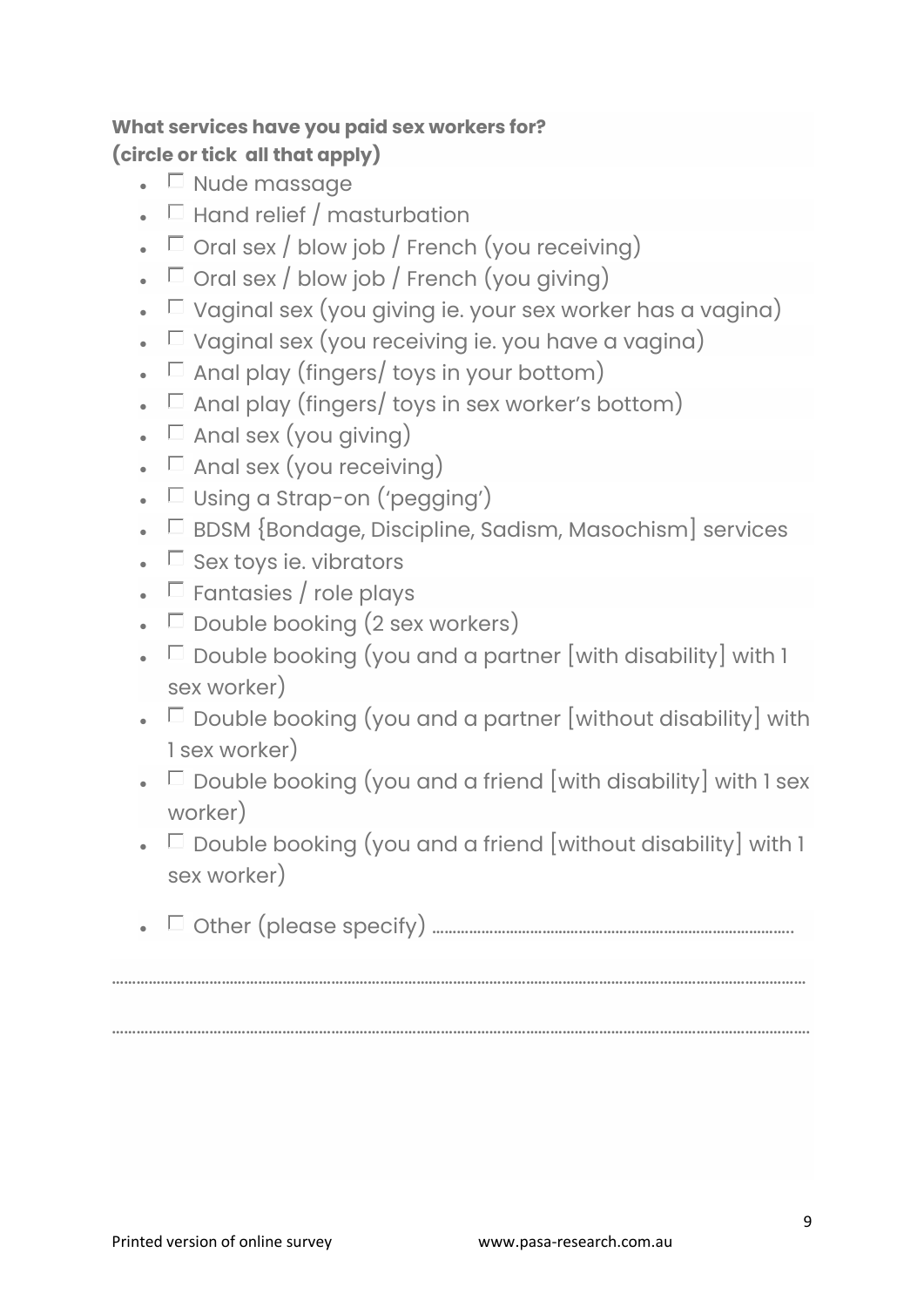## **What services have you paid sex workers for? (circle or tick all that apply)**

- $\bullet$   $\Box$  Nude massage
- $\Box$  Hand relief / masturbation
- $\Box$  Oral sex / blow job / French (you receiving)
- $\Box$  Oral sex / blow job / French (you giving)
- $\Box$  Vaginal sex (you giving ie. your sex worker has a vagina)
- $\Box$  Vaginal sex (you receiving ie. you have a vagina)
- $\Box$  Anal play (fingers/ toys in your bottom)
- $\Box$  Anal play (fingers/ toys in sex worker's bottom)
- $\Box$  Anal sex (you giving)
- $\Box$  Anal sex (you receiving)
- $\Box$  Using a Strap-on ('pegging')
- $\Box$  BDSM {Bondage, Discipline, Sadism, Masochism] services
- $\Box$  Sex toys ie. vibrators
- $\Box$  Fantasies / role plays
- $\Box$  Double booking (2 sex workers)
- $\Box$  Double booking (you and a partner [with disability] with 1 sex worker)
- $\Box$  Double booking (you and a partner [without disability] with 1 sex worker)
- $\Box$  Double booking (you and a friend [with disability] with 1 sex worker)
- $\Box$  Double booking (you and a friend [without disability] with 1 sex worker)
- Other (please specify) ……………………………………………………………………………..

………………………………………………………………………………………………………………………………………………………

……………………………………………………………………………………………………………………………………………………….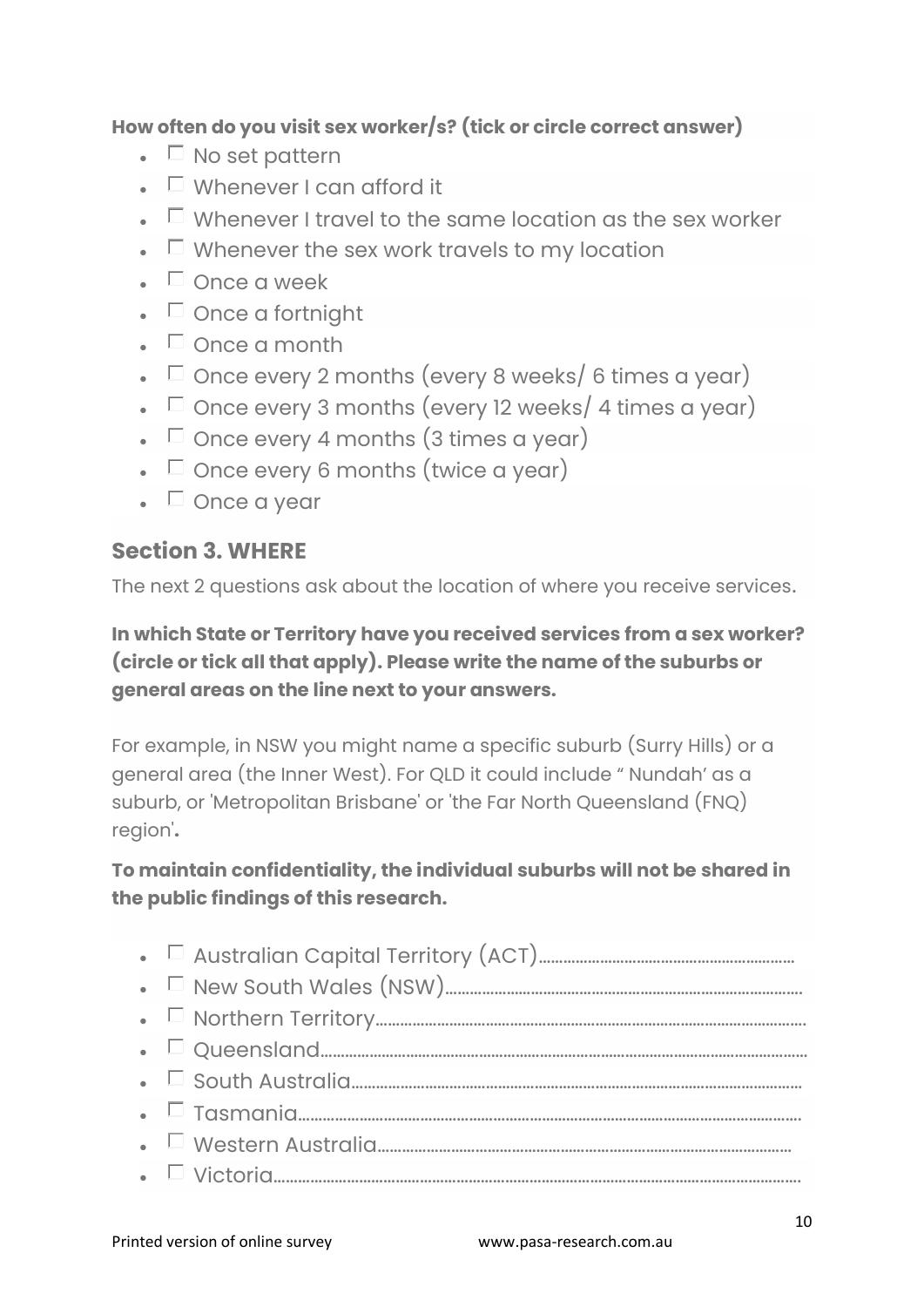#### **How often do you visit sex worker/s? (tick or circle correct answer)**

- $\bullet$   $\Box$  No set pattern
- $\square$  Whenever I can afford it
- $\Box$  Whenever I travel to the same location as the sex worker
- $\Box$  Whenever the sex work travels to my location
- $\blacksquare$  Once a week
- $\blacksquare$  Once a fortnight
- $\bullet$   $\Box$  Once a month
- $\Box$  Once every 2 months (every 8 weeks/ 6 times a year)
- $\Box$  Once every 3 months (every 12 weeks/ 4 times a year)
- $\Box$  Once every 4 months (3 times a year)
- $\bullet$   $\Box$  Once every 6 months (twice a year)
- $\bullet$   $\Box$  Once a year

#### **Section 3. WHERE**

The next 2 questions ask about the location of where you receive services.

**In which State or Territory have you received services from a sex worker? (circle or tick all that apply). Please write the name of the suburbs or general areas on the line next to your answers.**

For example, in NSW you might name a specific suburb (Surry Hills) or a general area (the Inner West). For QLD it could include " Nundah' as a suburb, or 'Metropolitan Brisbane' or 'the Far North Queensland (FNQ) region'**.**

**To maintain confidentiality, the individual suburbs will not be shared in the public findings of this research.**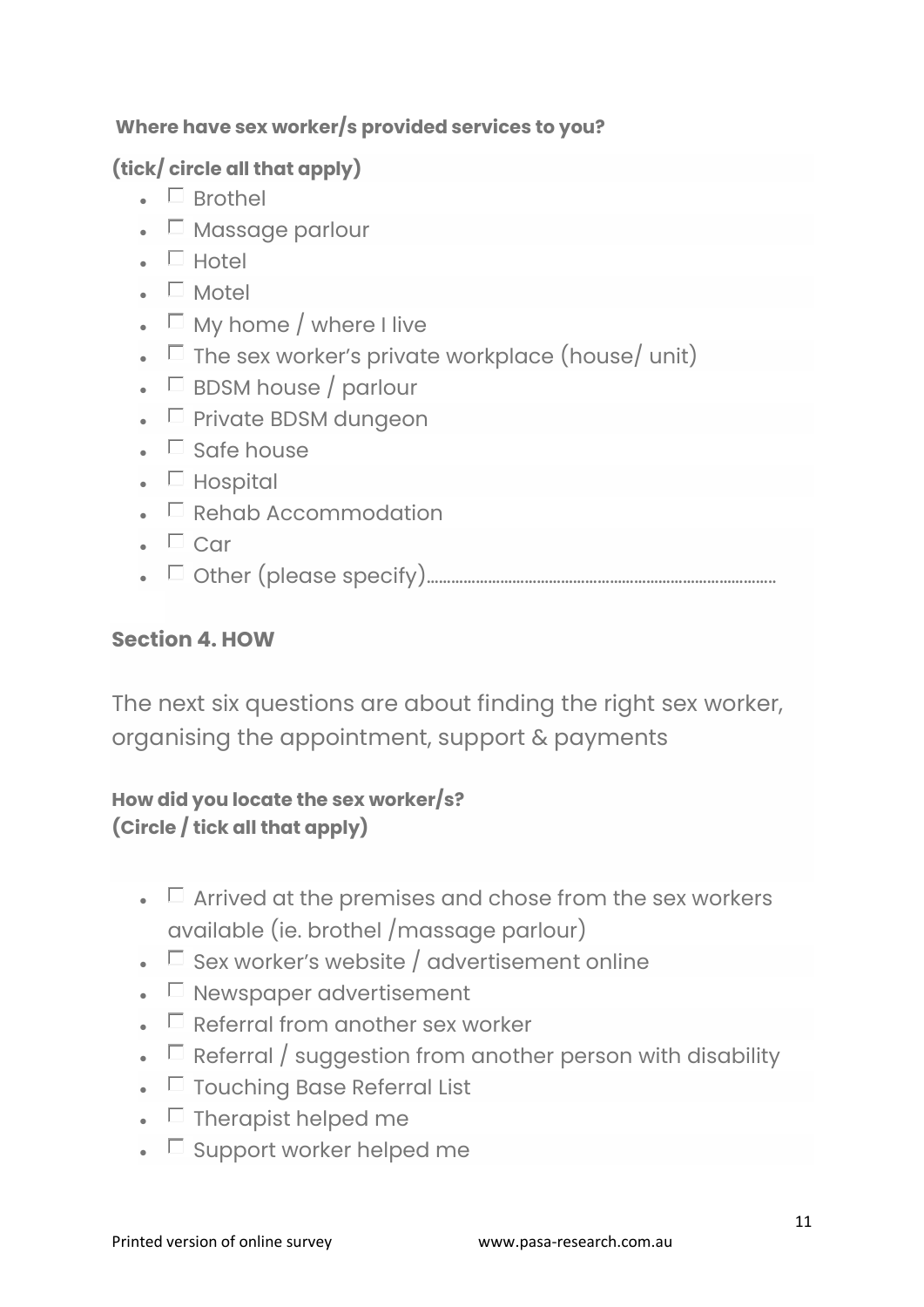#### **Where have sex worker/s provided services to you?**

# **(tick/ circle all that apply)**

- $\blacksquare$  Brothel
- $\Box$  Massage parlour
- $\blacksquare$  Hotel
- $\blacksquare$  Motel
- $\Box$  My home / where I live
- $\Box$  The sex worker's private workplace (house/ unit)
- $\bullet$   $\Box$  BDSM house / parlour
- $\bullet$   $\Box$  Private BDSM dungeon
- $\bullet$   $\Box$  Safe house
- $\blacksquare$  Hospital
- $\bullet$   $\Box$  Rehab Accommodation
- $\Box$  Car
- Other (please specify)…………………………………………………………………………..

## **Section 4. HOW**

The next six questions are about finding the right sex worker, organising the appointment, support & payments

#### **How did you locate the sex worker/s? (Circle / tick all that apply)**

- $\Box$  Arrived at the premises and chose from the sex workers available (ie. brothel /massage parlour)
- $\Box$  Sex worker's website / advertisement online
- $\Box$  Newspaper advertisement
- $\Box$  Referral from another sex worker
- $\Box$  Referral / suggestion from another person with disability
- $\Box$  Touching Base Referral List
- $\bullet$   $\Box$  Therapist helped me
- $\bullet$   $\Box$  Support worker helped me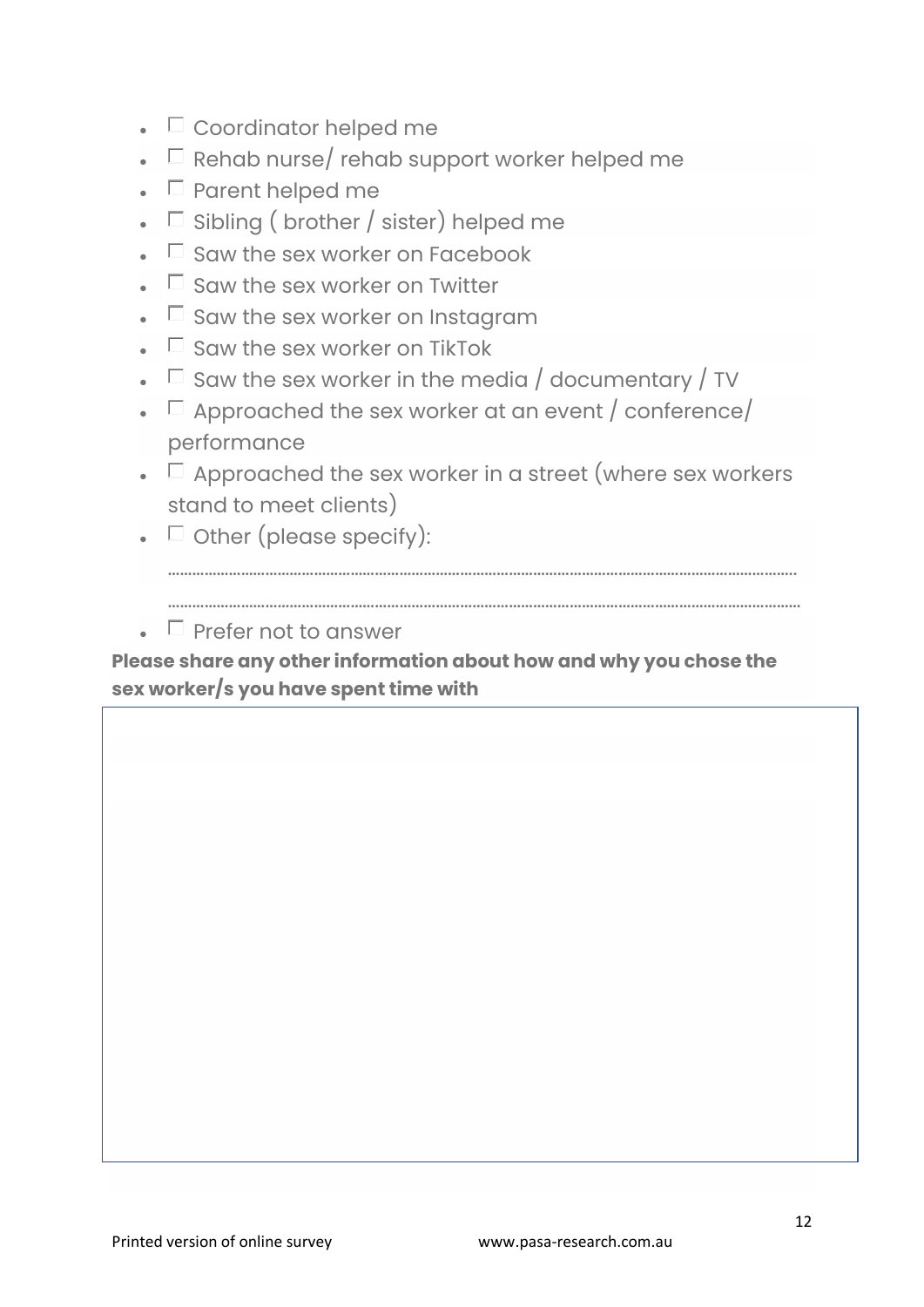- $\bullet$   $\Box$  Coordinator helped me
- $\Box$  Rehab nurse/ rehab support worker helped me
- $\bullet$   $\Box$  Parent helped me
- $\Box$  Sibling ( brother / sister) helped me
- $\Box$  Saw the sex worker on Facebook
- $\bullet$   $\Box$  Saw the sex worker on Twitter
- $\Box$  Saw the sex worker on Instagram
- $\bullet$   $\Box$  Saw the sex worker on TikTok
- $\Box$  Saw the sex worker in the media / documentary / TV
- $\Box$  Approached the sex worker at an event / conference/ performance
- $\Box$  Approached the sex worker in a street (where sex workers stand to meet clients)
- $\bullet$   $\Box$  Other (please specify):

 $\bullet$   $\Box$  Prefer not to answer

**Please share any other information about how and why you chose the sex worker/s you have spent time with**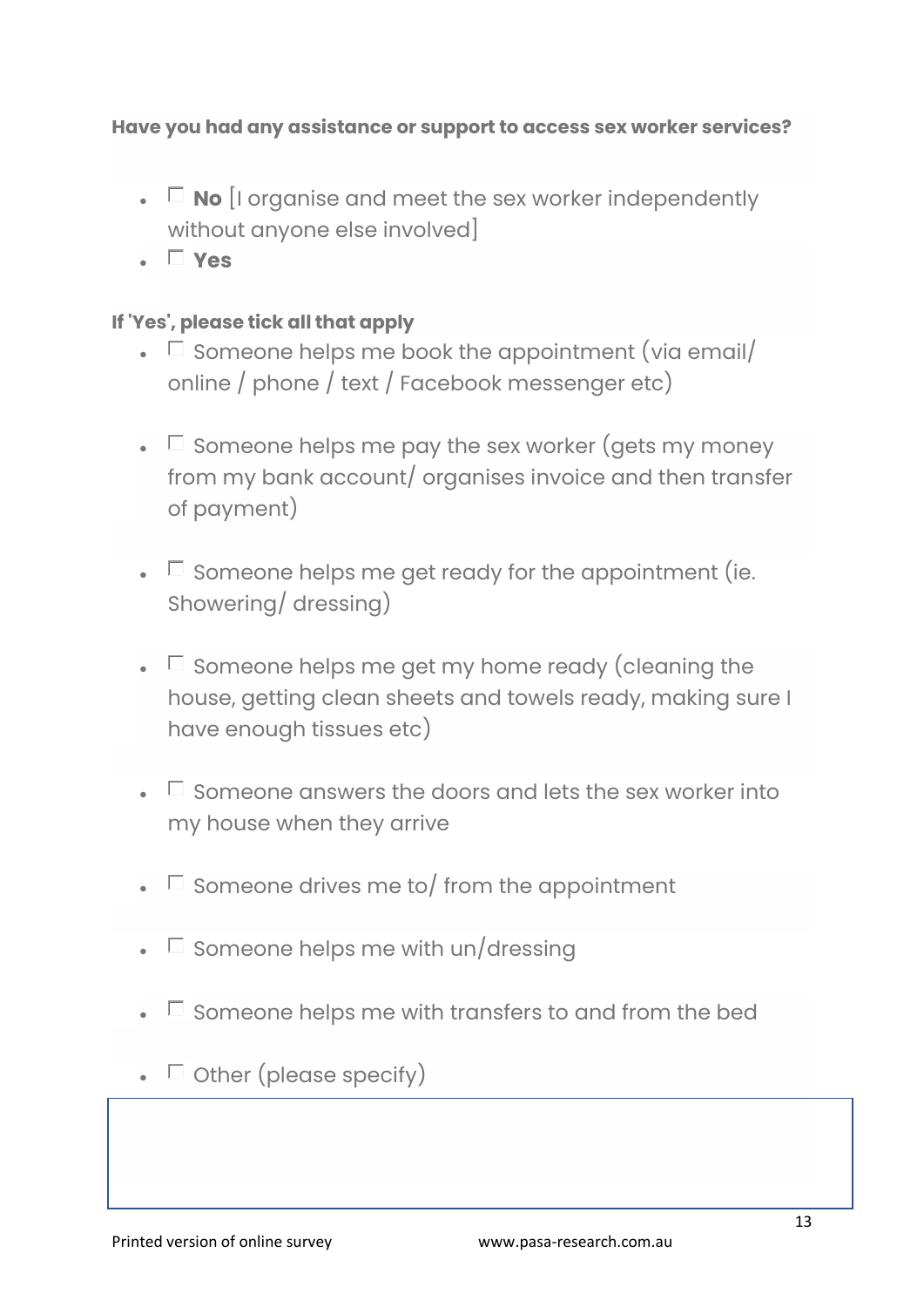#### **Have you had any assistance or support to access sex worker services?**

- $\Box$  **No** [I organise and meet the sex worker independently without anyone else involved]
- **Yes**

#### **If 'Yes', please tick all that apply**

- $\Box$  Someone helps me book the appointment (via email/ online / phone / text / Facebook messenger etc)
- $\Box$  Someone helps me pay the sex worker (gets my money from my bank account/ organises invoice and then transfer of payment)
- $\bullet$   $\Box$  Someone helps me get ready for the appointment (ie. Showering/ dressing)
- $\bullet$   $\Box$  Someone helps me get my home ready (cleaning the house, getting clean sheets and towels ready, making sure I have enough tissues etc)
- $\Box$  Someone answers the doors and lets the sex worker into my house when they arrive
- $\bullet$   $\Box$  Someone drives me to/ from the appointment
- $\square$  Someone helps me with un/dressing
- $\bullet$   $\Box$  Someone helps me with transfers to and from the bed
- $\bullet$   $\Box$  Other (please specify)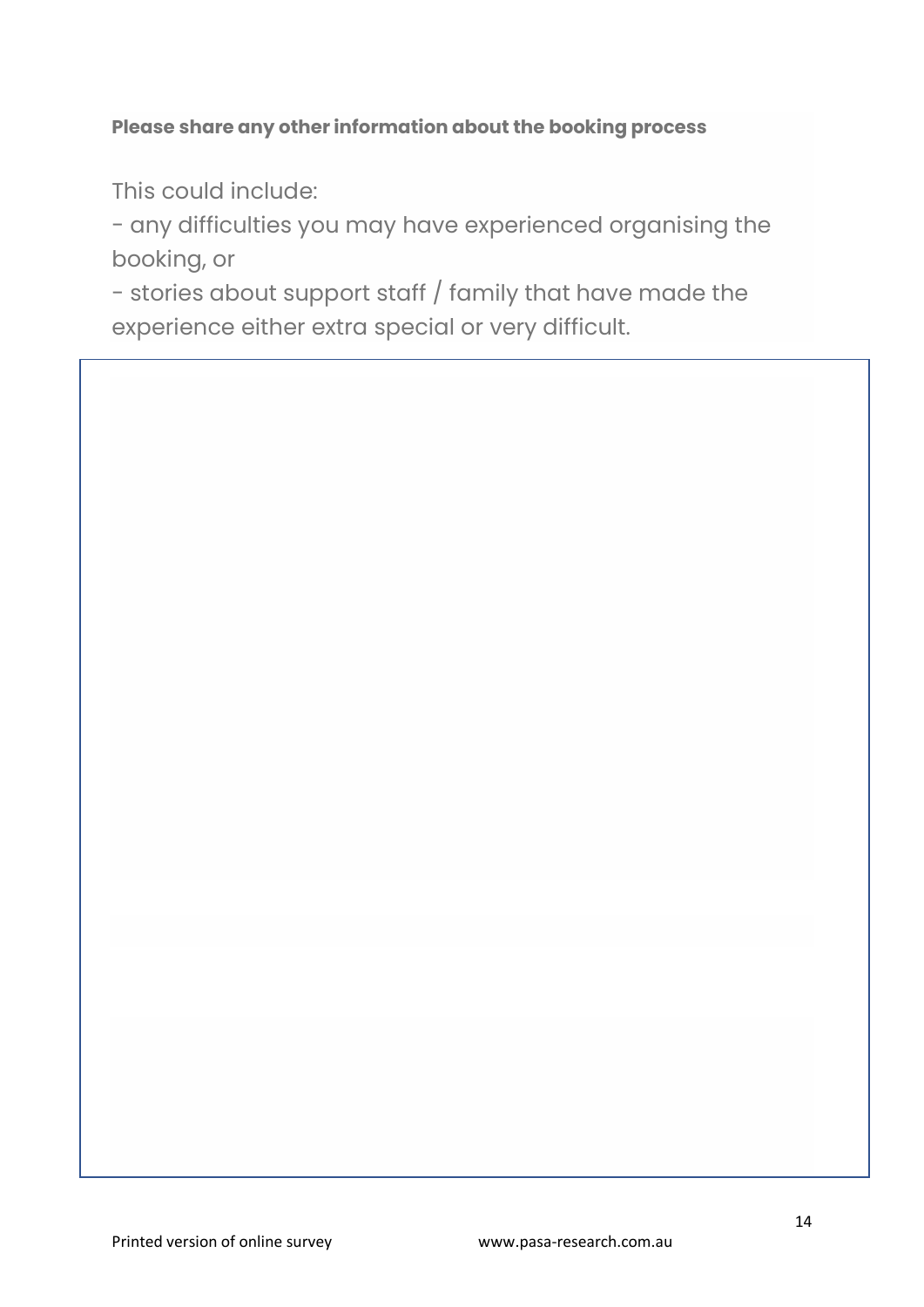#### **Please share any other information about the booking process**

This could include:

- any difficulties you may have experienced organising the booking, or

- stories about support staff / family that have made the experience either extra special or very difficult.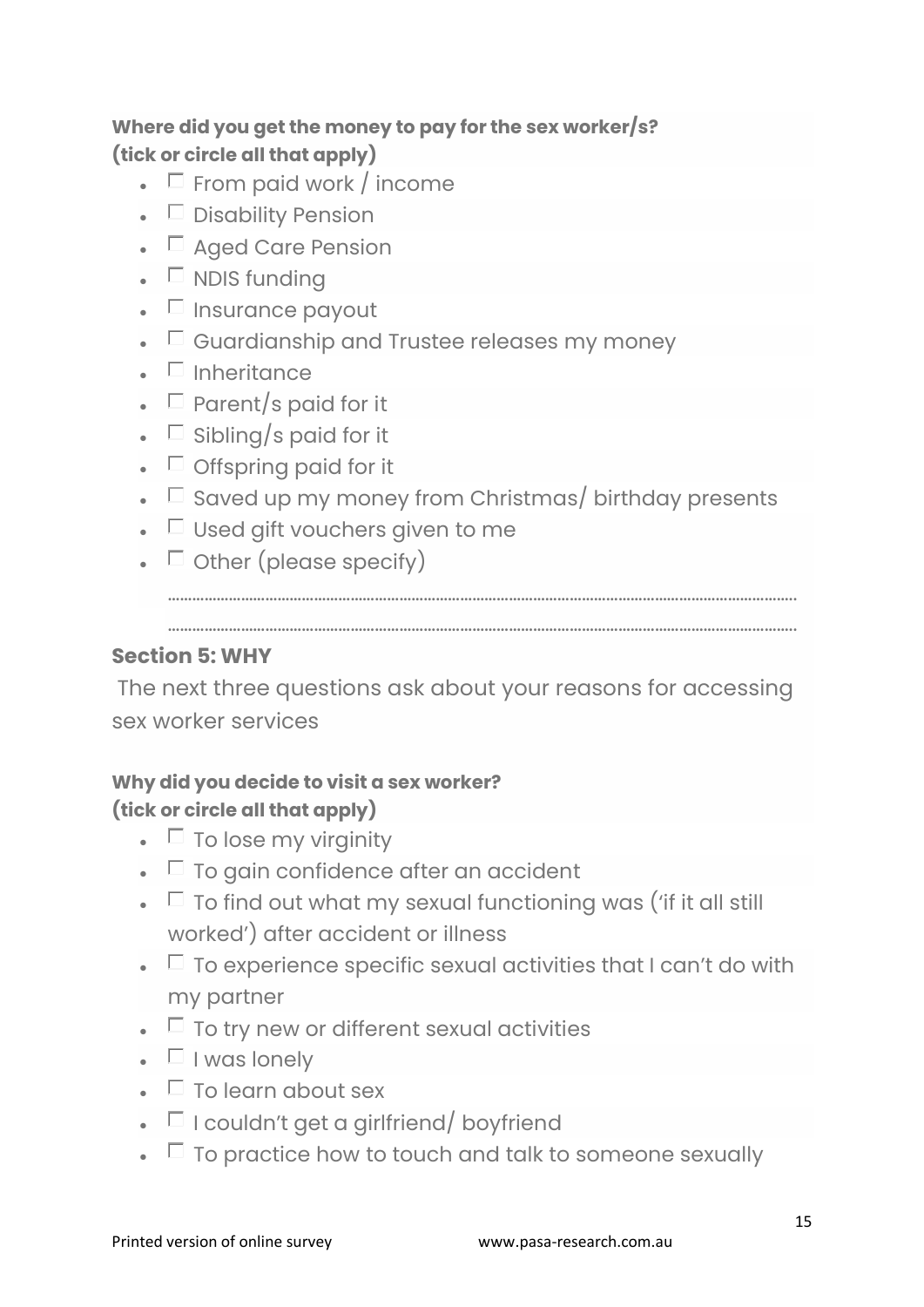# **Where did you get the money to pay for the sex worker/s? (tick or circle all that apply)**

- $\Box$  From paid work / income
- $\bullet$   $\Box$  Disability Pension
- $\Box$  Aged Care Pension
- $\blacksquare$  NDIS funding
- $\bullet$   $\Box$  Insurance payout
- $\bullet\quad \Box$  Guardianship and Trustee releases my money
- $\blacksquare$  Inheritance
- $\Box$  Parent/s paid for it
- $\Box$  Sibling/s paid for it
- $\bullet$   $\Box$  Offspring paid for it
- $\Box$  Saved up my money from Christmas/ birthday presents
- $\bullet$   $\Box$  Used gift vouchers given to me
- $\bullet$   $\Box$  Other (please specify)

………………………………………………………………………………………………………………………………………..

………………………………………………………………………………………………………………………………………..

#### **Section 5: WHY**

The next three questions ask about your reasons for accessing sex worker services

#### **Why did you decide to visit a sex worker? (tick or circle all that apply)**

- $\bullet$   $\Box$  To lose my virginity
- $\bullet$   $\Box$  To gain confidence after an accident
- $\bullet$   $\Box$  To find out what my sexual functioning was ('if it all still worked') after accident or illness
- $\Box$  To experience specific sexual activities that I can't do with my partner
- $\bullet$   $\Box$  To try new or different sexual activities
- $\blacksquare$  I was lonely
- $\bullet$   $\Box$  To learn about sex
- $\bullet$   $\Box$  I couldn't get a girlfriend/ boyfriend
- $\bullet$   $\Box$  To practice how to touch and talk to someone sexually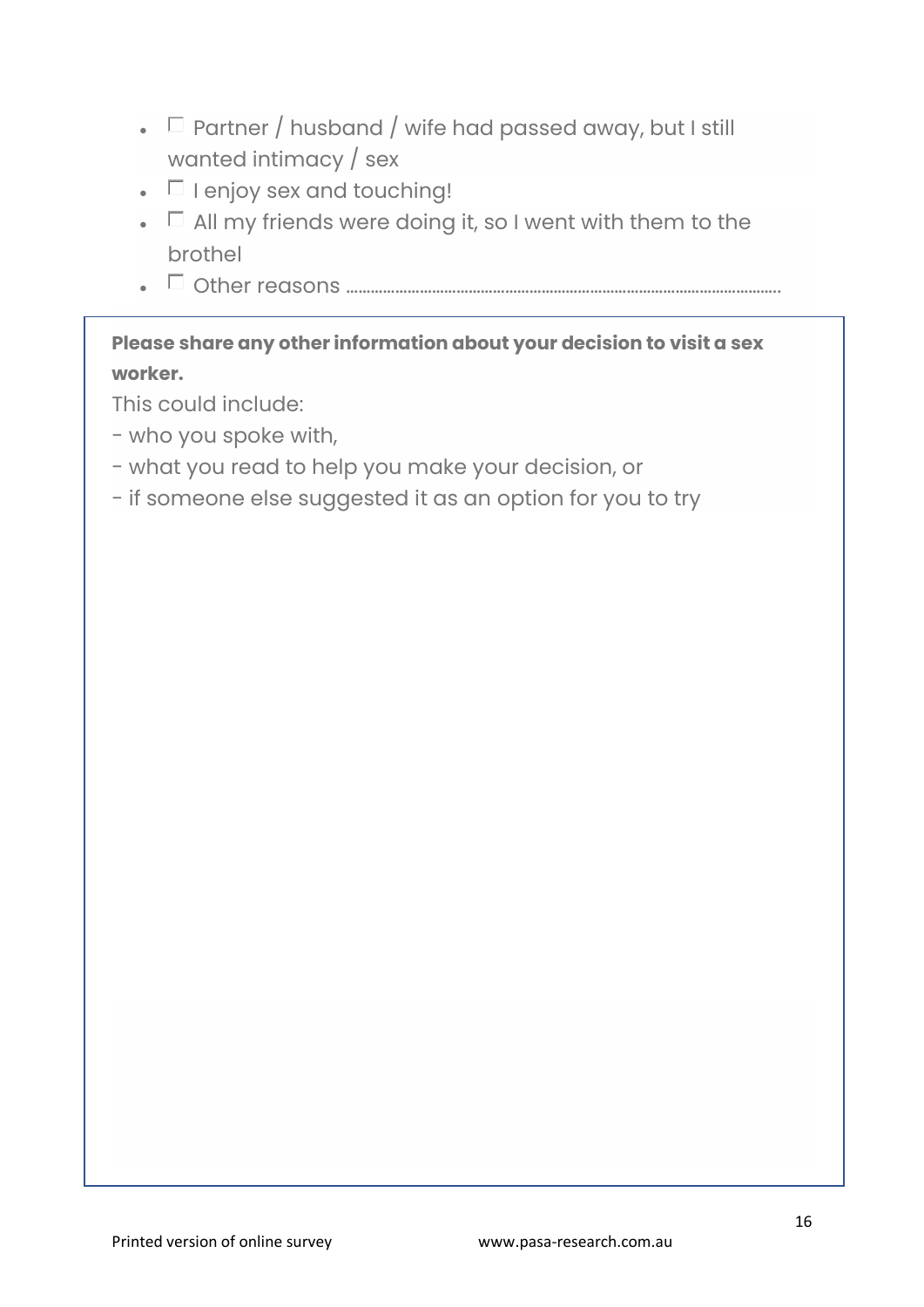- $\Box$  Partner / husband / wife had passed away, but I still wanted intimacy / sex
- $\bullet$   $\Box$  I enjoy sex and touching!
- $\bullet$   $\Box$  All my friends were doing it, so I went with them to the brothel
- Other reasons ……………………………………………………………………………………………..

### **Please share any other information about your decision to visit a sex worker.**

This could include:

- who you spoke with,
- what you read to help you make your decision, or
- if someone else suggested it as an option for you to try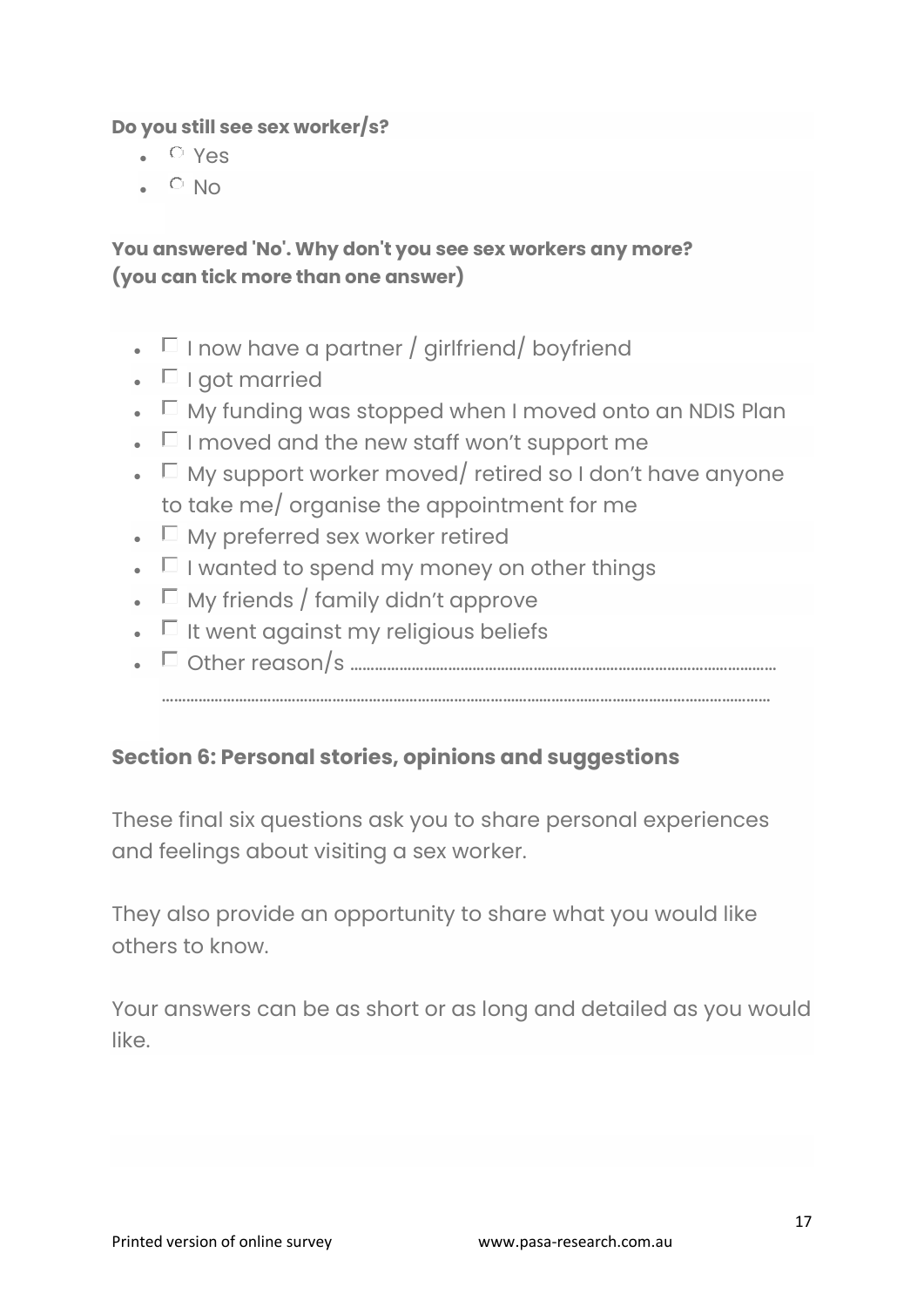**Do you still see sex worker/s?**

- Yes
- $\cdot$  O No

#### **You answered 'No'. Why don't you see sex workers any more? (you can tick more than one answer)**

- $\Box$  I now have a partner / girlfriend/ boyfriend
- $\blacksquare$  I got married
- $\Box$  My funding was stopped when I moved onto an NDIS Plan
- $\bullet$   $\Box$  I moved and the new staff won't support me
- $\Box$  My support worker moved/ retired so I don't have anyone to take me/ organise the appointment for me
- $\Box$  My preferred sex worker retired
- $\bullet$   $\Box$  I wanted to spend my money on other things
- $\Box$  My friends / family didn't approve
- $\bullet$   $\Box$  It went against my religious beliefs
- Other reason/s ……………………………………………………………………………………………

……………………………………………………………………………………………………………………………………

#### **Section 6: Personal stories, opinions and suggestions**

These final six questions ask you to share personal experiences and feelings about visiting a sex worker.

They also provide an opportunity to share what you would like others to know.

Your answers can be as short or as long and detailed as you would like.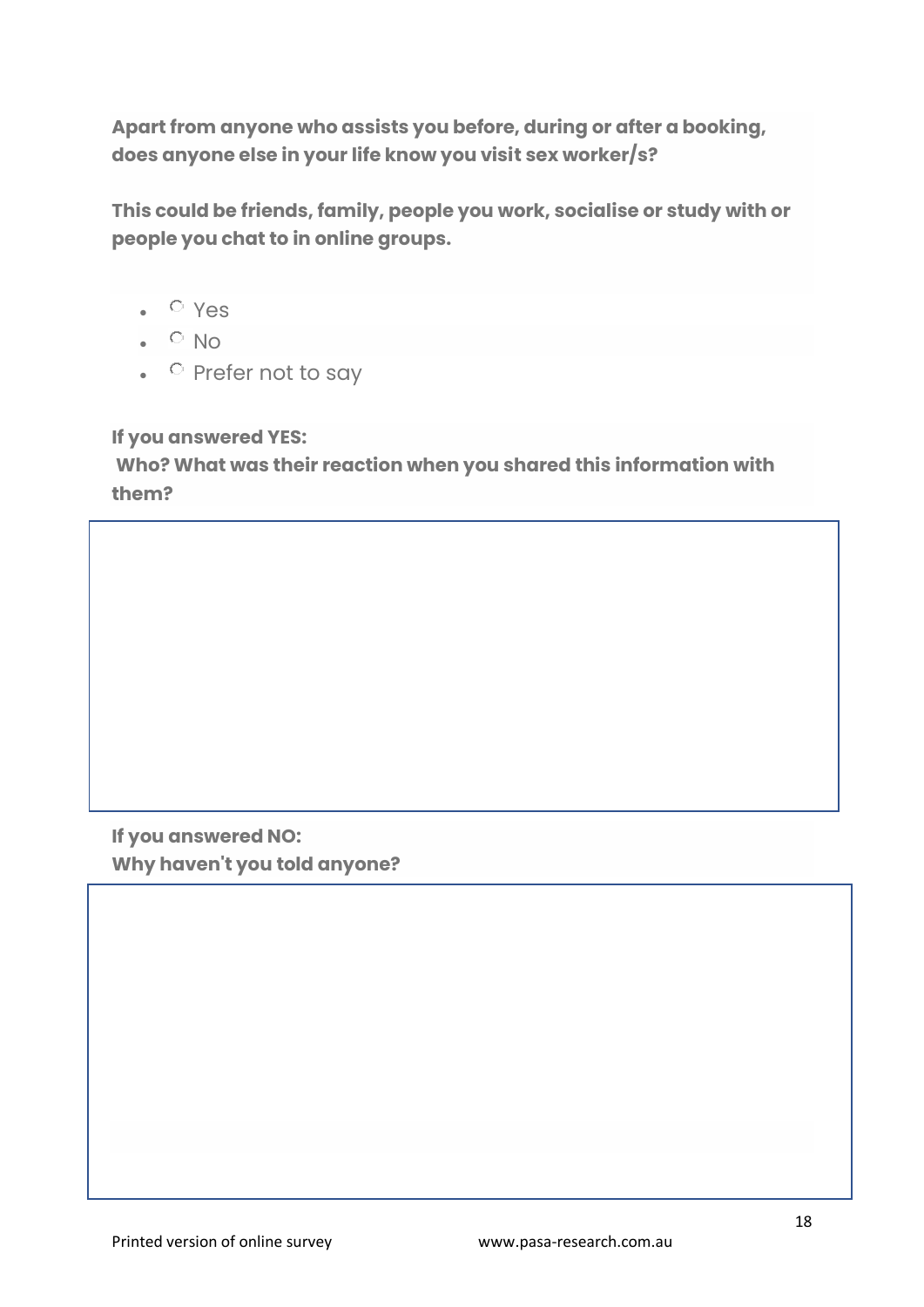**Apart from anyone who assists you before, during or after a booking, does anyone else in your life know you visit sex worker/s?**

**This could be friends, family, people you work, socialise or study with or people you chat to in online groups.**

- Yes
- $\cdot$   $\circ$  No
- $\circ$  Prefer not to say

**If you answered YES:**

**Who? What was their reaction when you shared this information with them?**

**If you answered NO: Why haven't you told anyone?**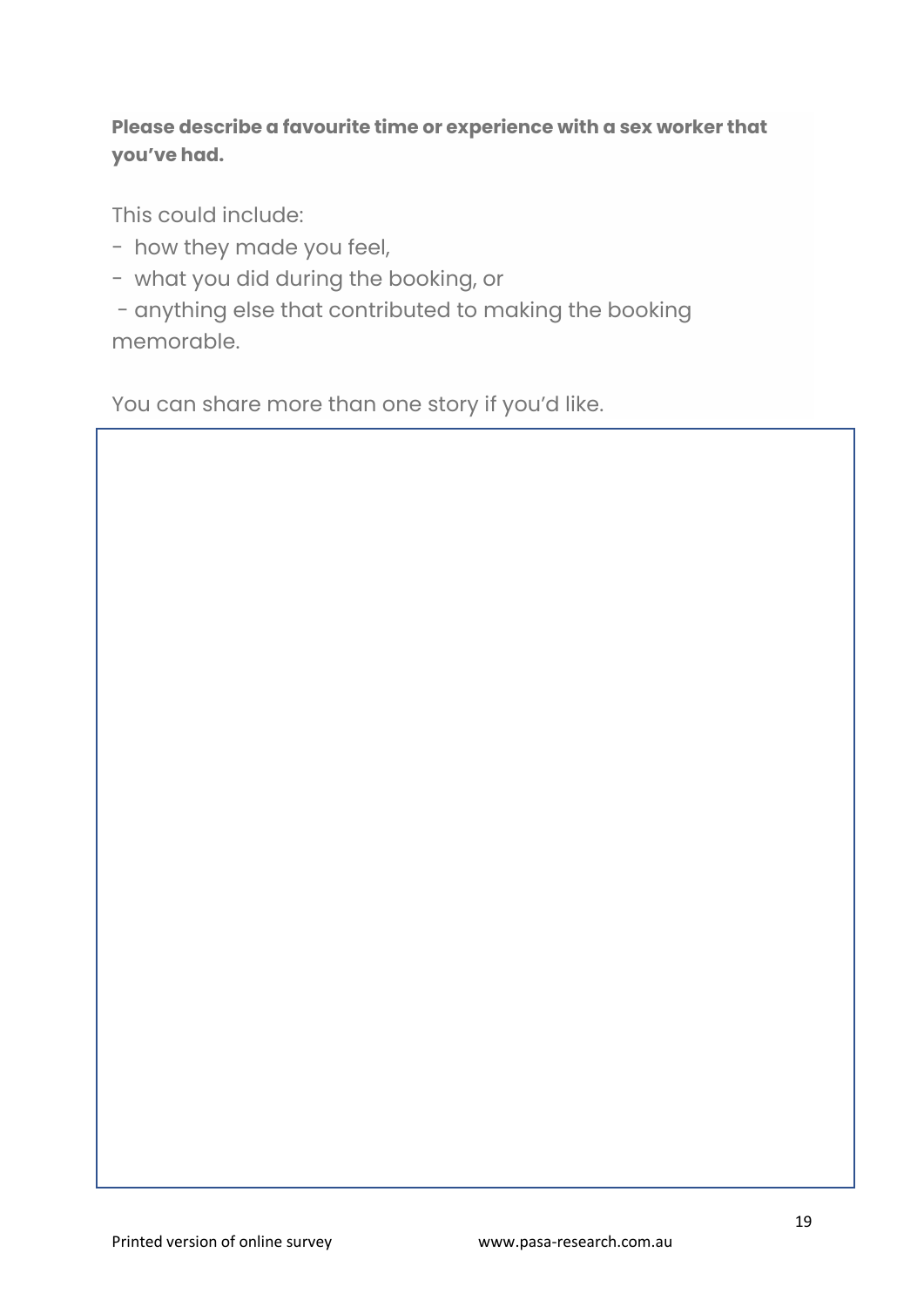### **Please describe a favourite time or experience with a sex worker that you've had.**

This could include:

- how they made you feel,
- what you did during the booking, or
- anything else that contributed to making the booking memorable.

You can share more than one story if you'd like.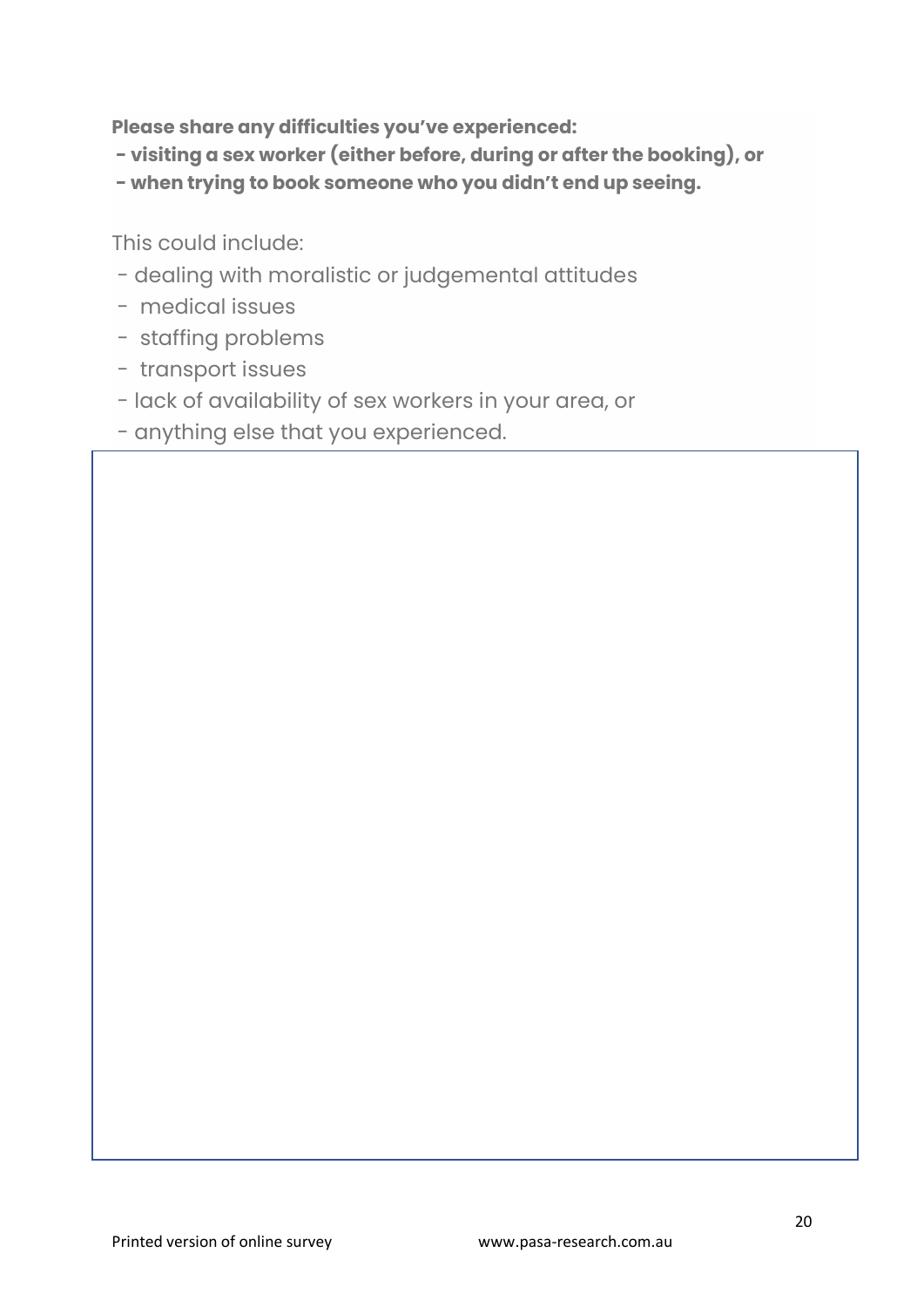**Please share any difficulties you've experienced:**

- **- visiting a sex worker (either before, during or after the booking), or**
- **- when trying to book someone who you didn't end up seeing.**

This could include:

- dealing with moralistic or judgemental attitudes
- medical issues
- staffing problems
- transport issues
- lack of availability of sex workers in your area, or
- anything else that you experienced.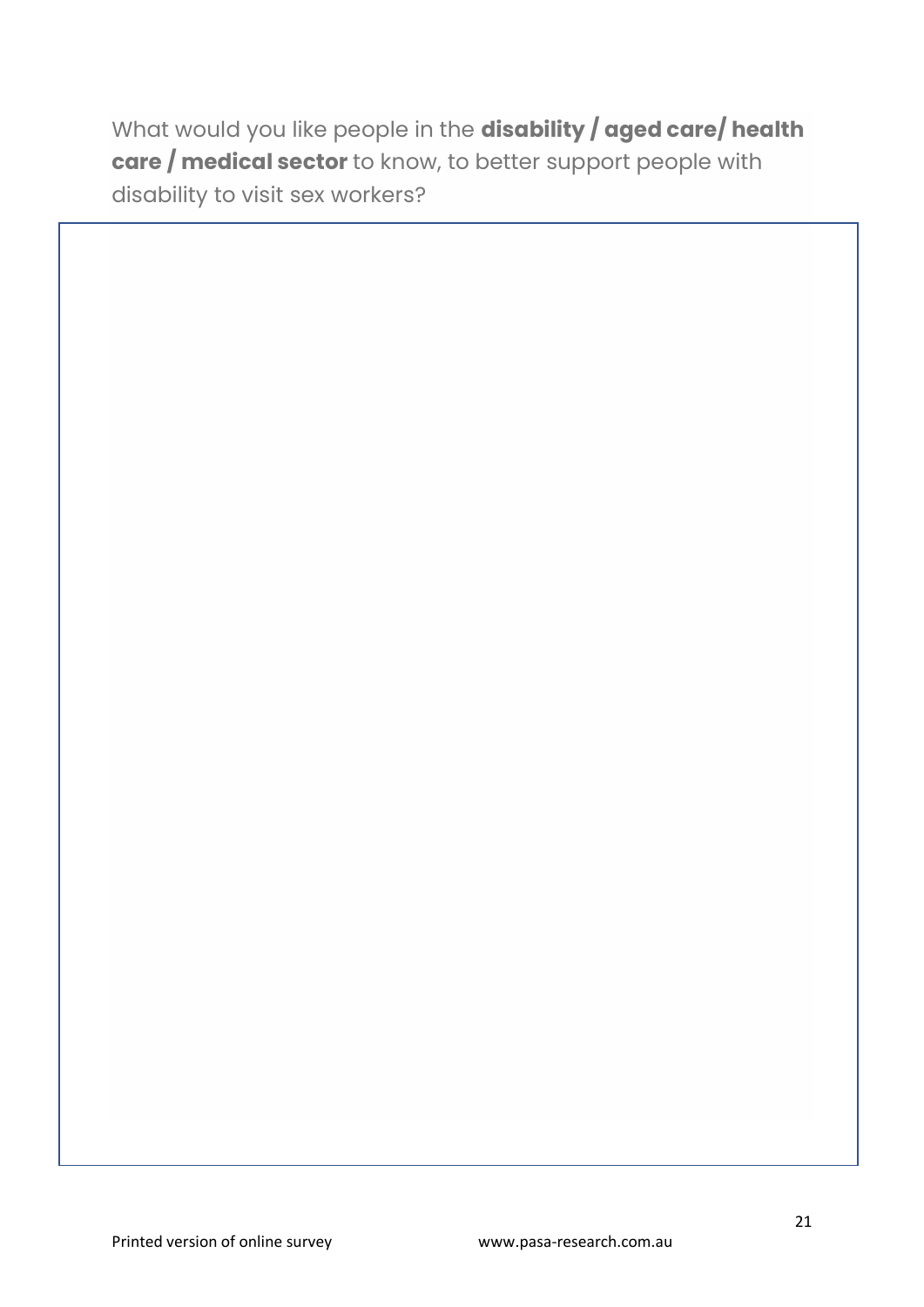What would you like people in the **disability / aged care/ health care / medical sector** to know, to better support people with disability to visit sex workers?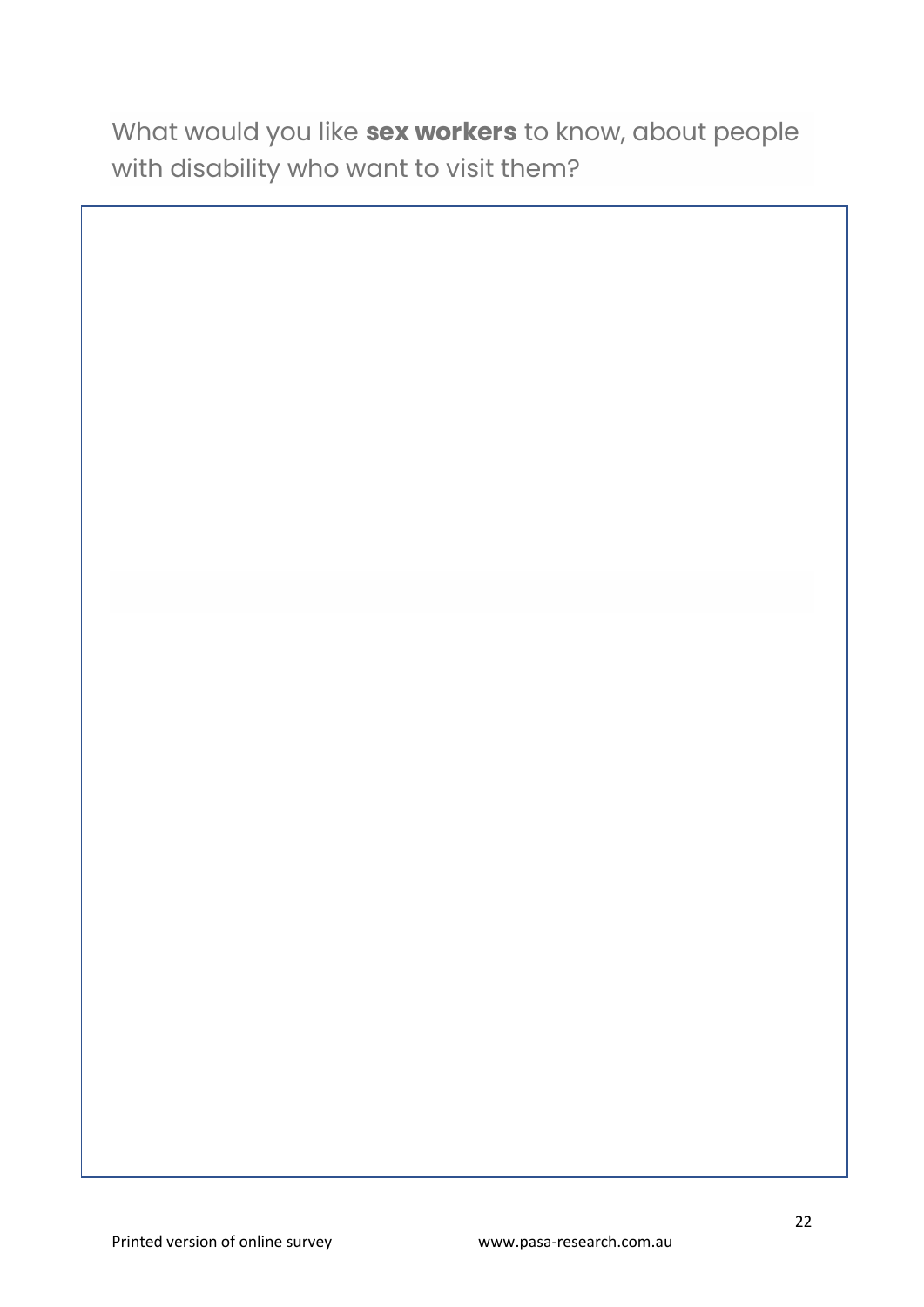What would you like **sex workers** to know, about people with disability who want to visit them?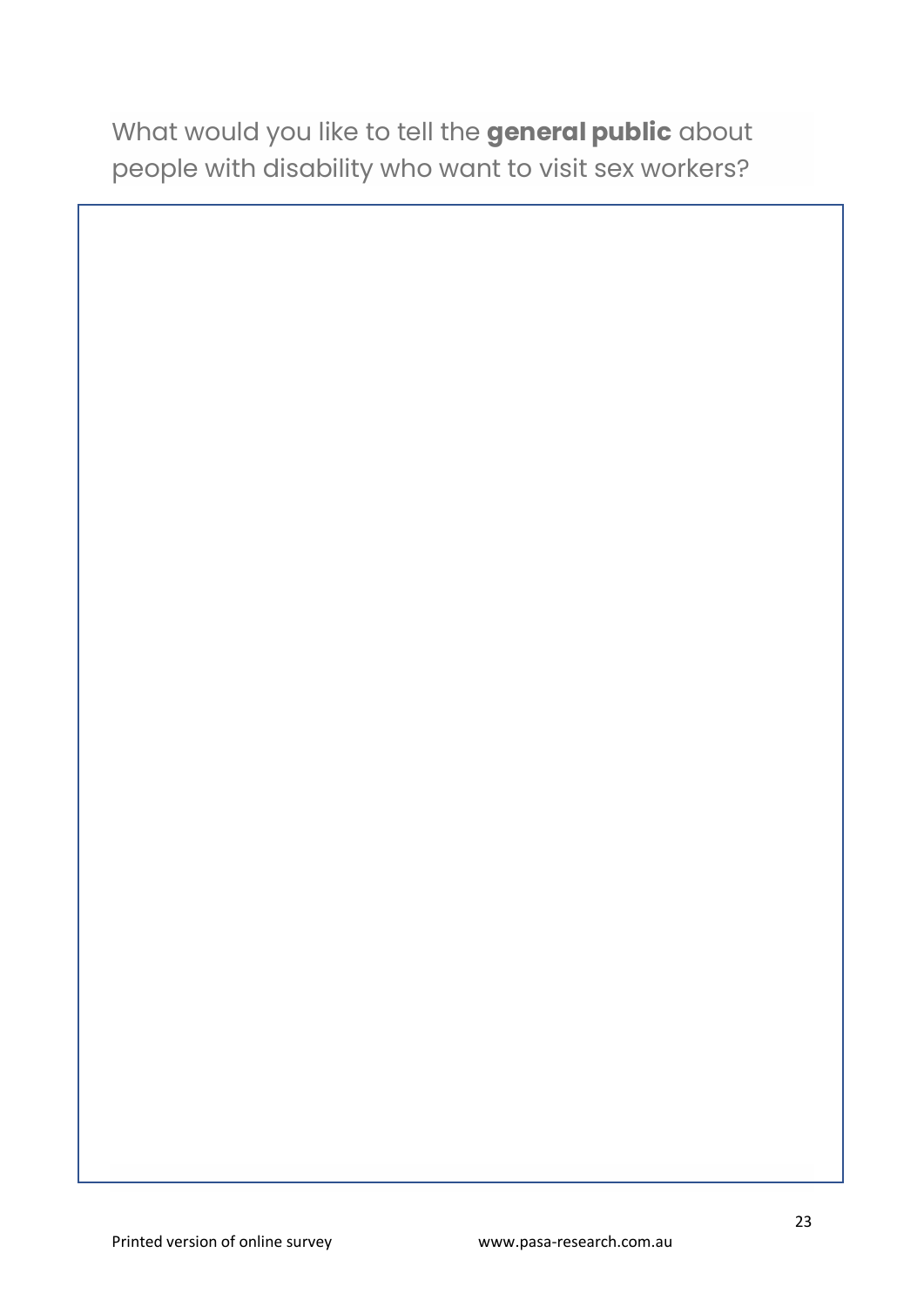What would you like to tell the **general public** about people with disability who want to visit sex workers?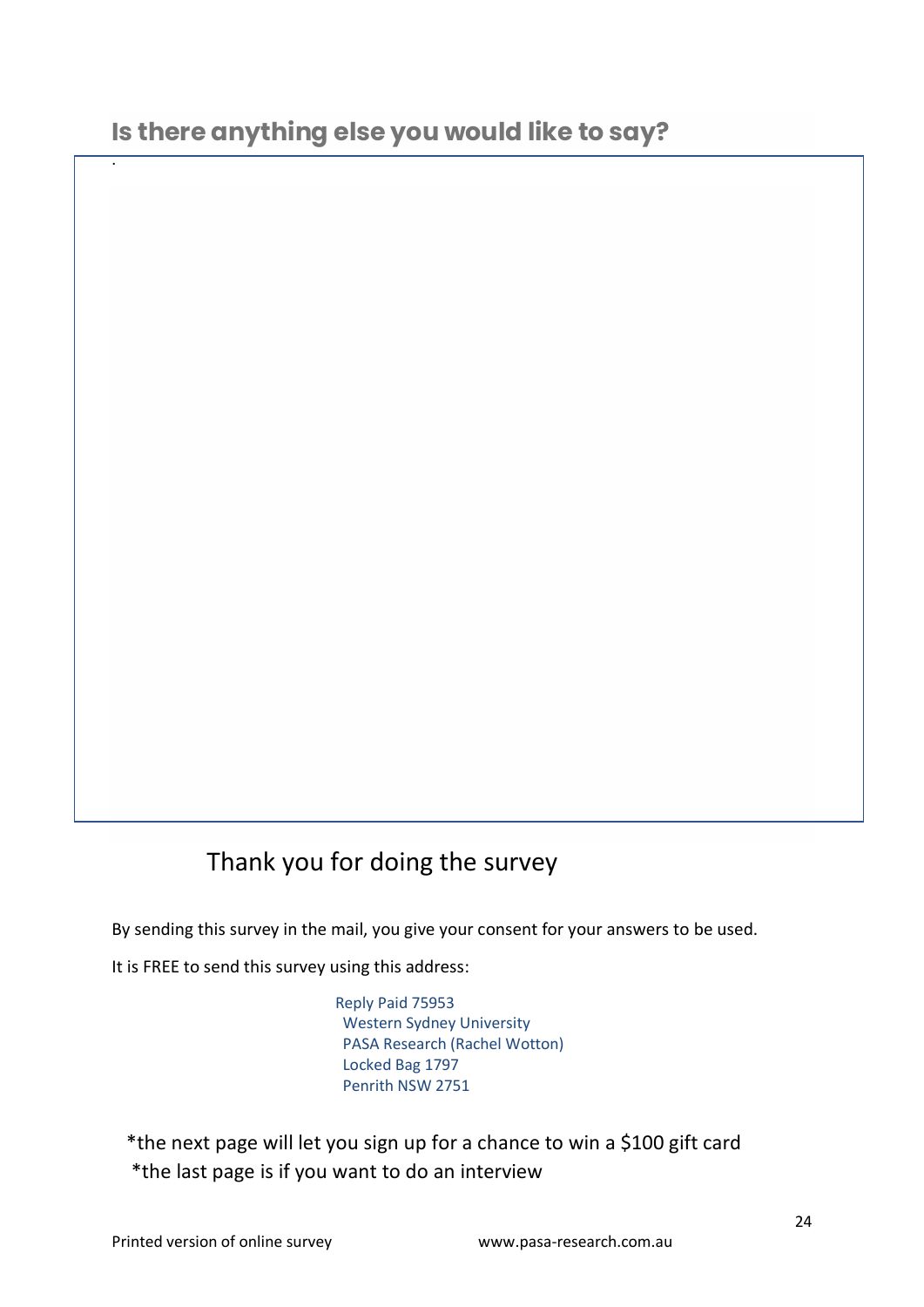.

# Thank you for doing the survey

By sending this survey in the mail, you give your consent for your answers to be used.

It is FREE to send this survey using this address:

Reply Paid 75953 Western Sydney University PASA Research (Rachel Wotton) Locked Bag 1797 Penrith NSW 2751

 \*the next page will let you sign up for a chance to win a \$100 gift card \*the last page is if you want to do an interview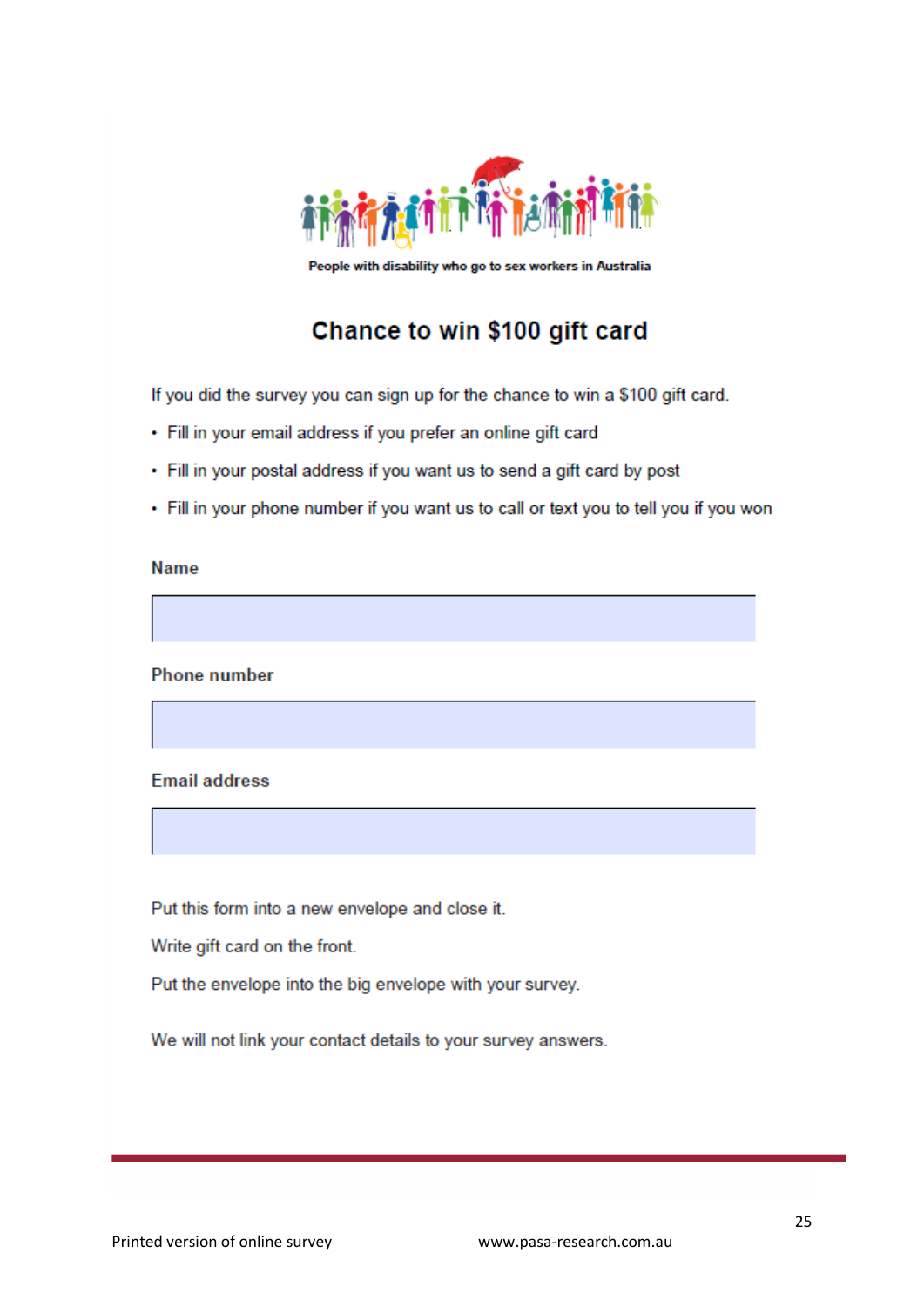

People with disability who go to sex workers in Australia

# Chance to win \$100 gift card

If you did the survey you can sign up for the chance to win a \$100 gift card.

- Fill in your email address if you prefer an online gift card
- Fill in your postal address if you want us to send a gift card by post
- Fill in your phone number if you want us to call or text you to tell you if you won

#### **Name**

**Phone number** 

#### **Email address**

Put this form into a new envelope and close it.

Write gift card on the front.

Put the envelope into the big envelope with your survey.

We will not link your contact details to your survey answers.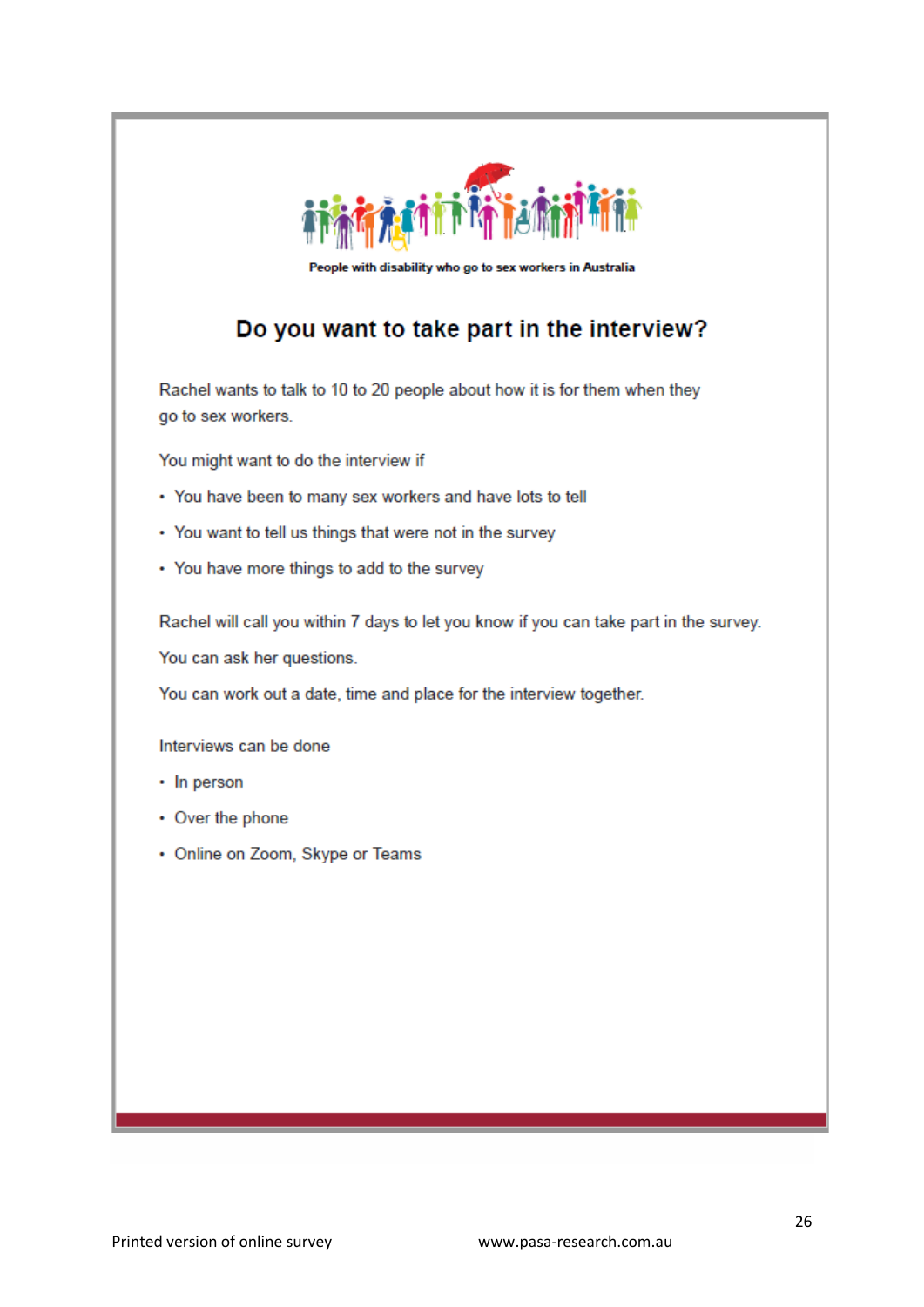

People with disability who go to sex workers in Australia

# Do you want to take part in the interview?

Rachel wants to talk to 10 to 20 people about how it is for them when they go to sex workers.

You might want to do the interview if

- You have been to many sex workers and have lots to tell
- You want to tell us things that were not in the survey
- You have more things to add to the survey

Rachel will call you within 7 days to let you know if you can take part in the survey.

You can ask her questions.

You can work out a date, time and place for the interview together.

Interviews can be done

- In person
- Over the phone
- Online on Zoom, Skype or Teams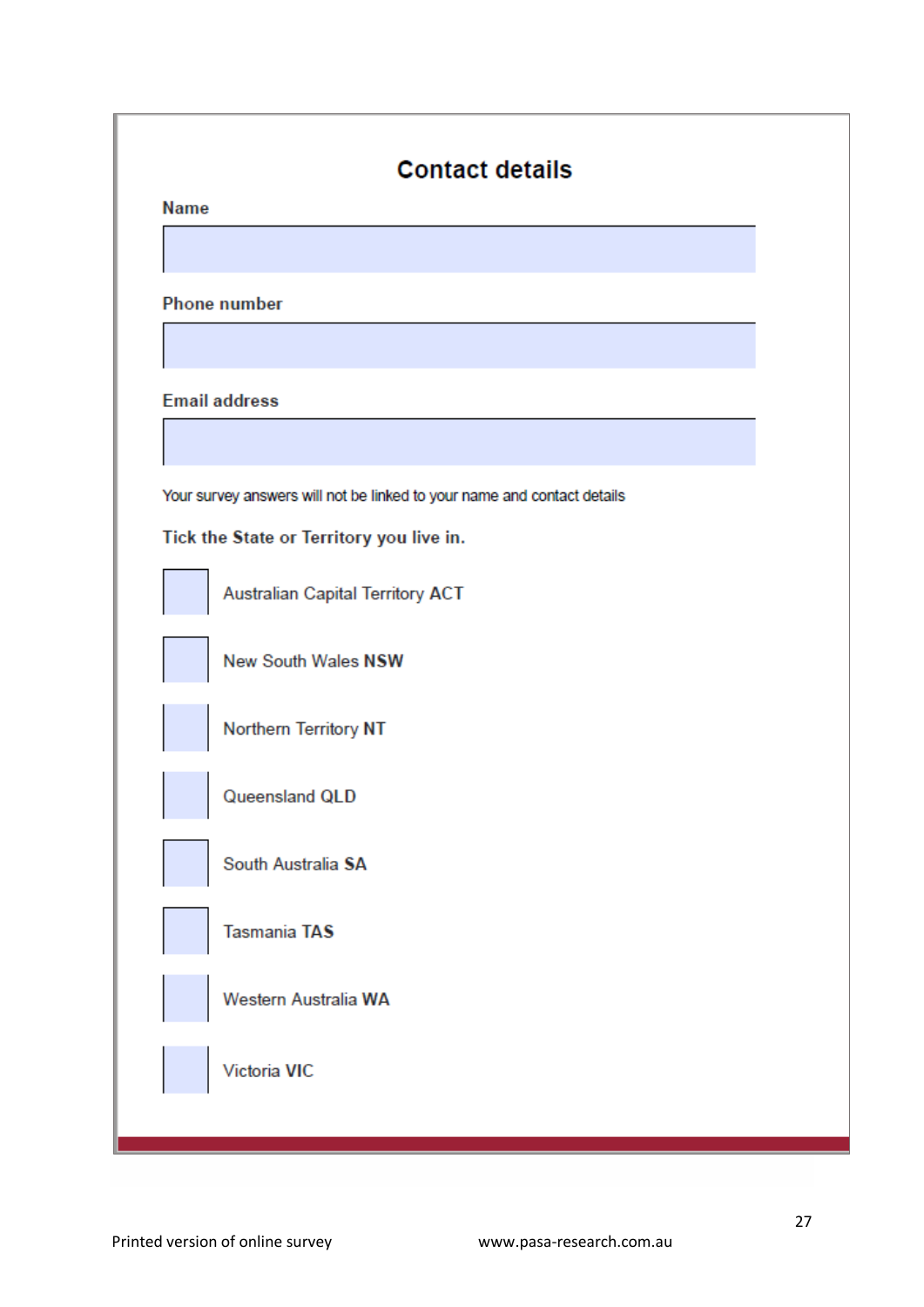| <b>Name</b> |                                                                                                                     |
|-------------|---------------------------------------------------------------------------------------------------------------------|
|             | <b>Phone number</b>                                                                                                 |
|             |                                                                                                                     |
|             | <b>Email address</b>                                                                                                |
|             | Your survey answers will not be linked to your name and contact details<br>Tick the State or Territory you live in. |
|             | Australian Capital Territory ACT                                                                                    |
|             | New South Wales NSW                                                                                                 |
|             | Northern Territory NT                                                                                               |
|             | Queensland QLD                                                                                                      |
|             | South Australia SA                                                                                                  |
|             | <b>Tasmania TAS</b>                                                                                                 |
|             | Western Australia WA                                                                                                |
|             | Victoria VIC                                                                                                        |